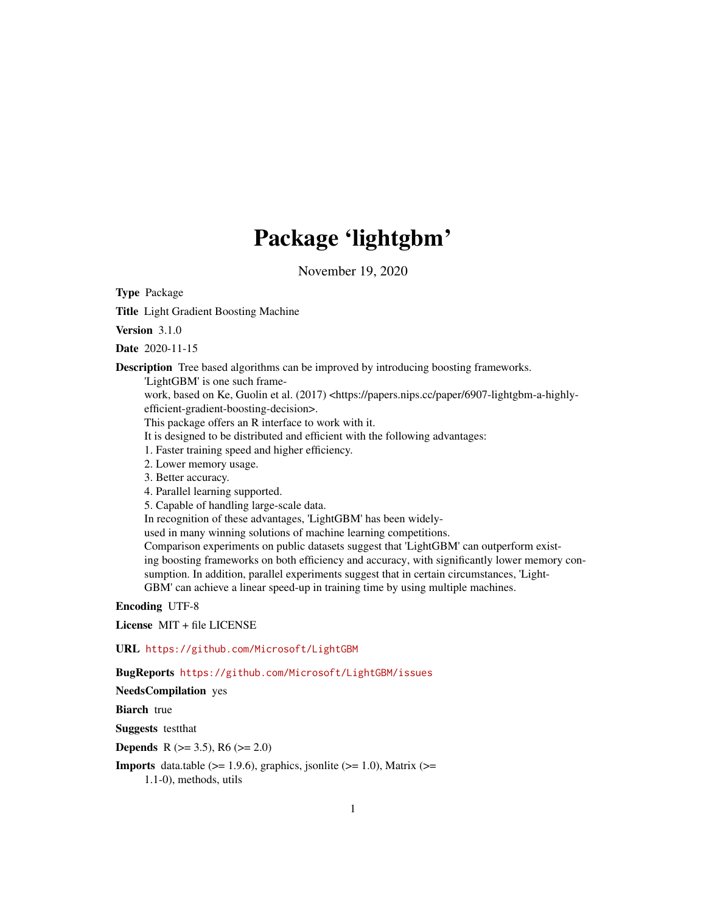# Package 'lightgbm'

November 19, 2020

<span id="page-0-0"></span>Type Package

Title Light Gradient Boosting Machine

Version 3.1.0

Date 2020-11-15

Description Tree based algorithms can be improved by introducing boosting frameworks.

'LightGBM' is one such frame-

work, based on Ke, Guolin et al. (2017) <https://papers.nips.cc/paper/6907-lightgbm-a-highlyefficient-gradient-boosting-decision>.

This package offers an R interface to work with it.

It is designed to be distributed and efficient with the following advantages:

1. Faster training speed and higher efficiency.

2. Lower memory usage.

3. Better accuracy.

4. Parallel learning supported.

5. Capable of handling large-scale data.

In recognition of these advantages, 'LightGBM' has been widely-

used in many winning solutions of machine learning competitions.

Comparison experiments on public datasets suggest that 'LightGBM' can outperform existing boosting frameworks on both efficiency and accuracy, with significantly lower memory consumption. In addition, parallel experiments suggest that in certain circumstances, 'Light-GBM' can achieve a linear speed-up in training time by using multiple machines.

Encoding UTF-8

License MIT + file LICENSE

URL <https://github.com/Microsoft/LightGBM>

BugReports <https://github.com/Microsoft/LightGBM/issues>

NeedsCompilation yes

**Biarch** true

Suggests testthat

**Depends** R ( $>= 3.5$ ), R6 ( $>= 2.0$ )

**Imports** data.table ( $>= 1.9.6$ ), graphics, jsonlite ( $>= 1.0$ ), Matrix ( $>=$ 1.1-0), methods, utils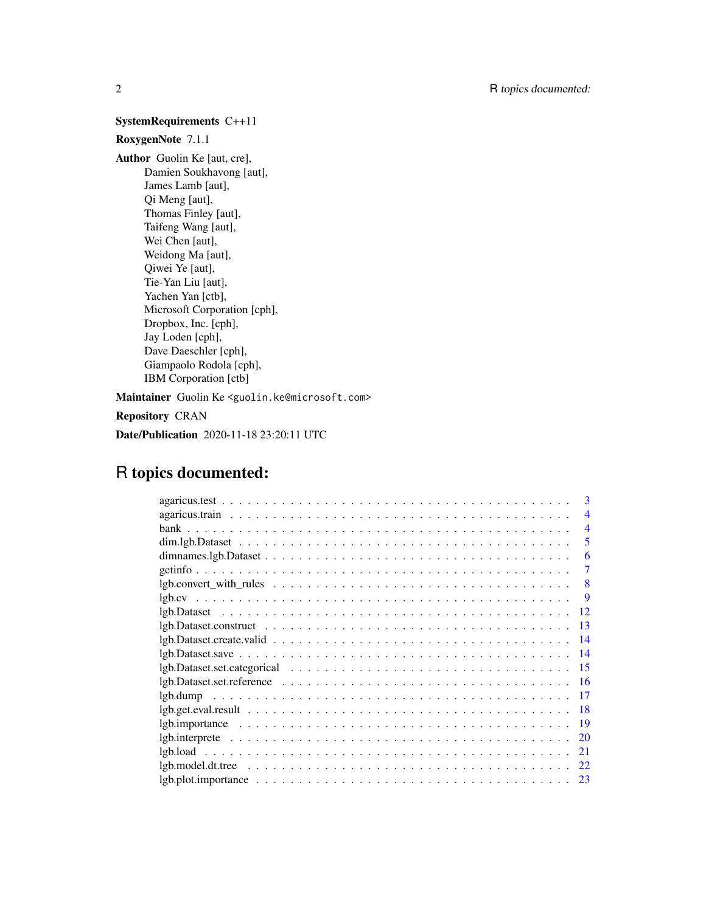## SystemRequirements C++11

## RoxygenNote 7.1.1

Author Guolin Ke [aut, cre], Damien Soukhavong [aut], James Lamb [aut], Qi Meng [aut], Thomas Finley [aut], Taifeng Wang [aut], Wei Chen [aut], Weidong Ma [aut], Qiwei Ye [aut], Tie-Yan Liu [aut], Yachen Yan [ctb], Microsoft Corporation [cph], Dropbox, Inc. [cph], Jay Loden [cph], Dave Daeschler [cph], Giampaolo Rodola [cph], IBM Corporation [ctb]

Maintainer Guolin Ke <guolin.ke@microsoft.com>

Repository CRAN

Date/Publication 2020-11-18 23:20:11 UTC

## R topics documented:

| 3                                                                                                                                                |
|--------------------------------------------------------------------------------------------------------------------------------------------------|
| $\overline{\mathcal{A}}$                                                                                                                         |
| $\overline{4}$                                                                                                                                   |
| 5                                                                                                                                                |
| 6                                                                                                                                                |
| 7                                                                                                                                                |
| 8                                                                                                                                                |
| -9                                                                                                                                               |
|                                                                                                                                                  |
| 13                                                                                                                                               |
| $\text{lgb.Dataset.create. } \text{valid} \dots \dots \dots \dots \dots \dots \dots \dots \dots \dots \dots \dots \dots \dots \dots \dots \dots$ |
| 14                                                                                                                                               |
| 15                                                                                                                                               |
| 16                                                                                                                                               |
|                                                                                                                                                  |
| $lgb.get.eval. result                  $<br>-18                                                                                                  |
| 19                                                                                                                                               |
| 20                                                                                                                                               |
| 21                                                                                                                                               |
| 22                                                                                                                                               |
| 23                                                                                                                                               |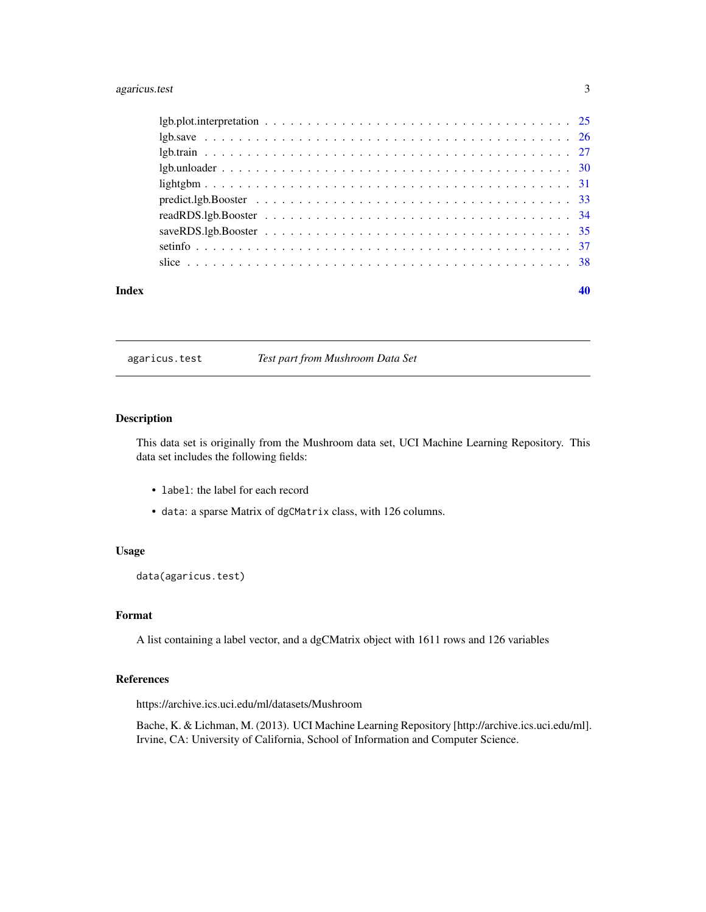## <span id="page-2-0"></span>agaricus.test 3

#### $\blacksquare$

agaricus.test *Test part from Mushroom Data Set*

## Description

This data set is originally from the Mushroom data set, UCI Machine Learning Repository. This data set includes the following fields:

- label: the label for each record
- data: a sparse Matrix of dgCMatrix class, with 126 columns.

## Usage

data(agaricus.test)

## Format

A list containing a label vector, and a dgCMatrix object with 1611 rows and 126 variables

## References

https://archive.ics.uci.edu/ml/datasets/Mushroom

Bache, K. & Lichman, M. (2013). UCI Machine Learning Repository [http://archive.ics.uci.edu/ml]. Irvine, CA: University of California, School of Information and Computer Science.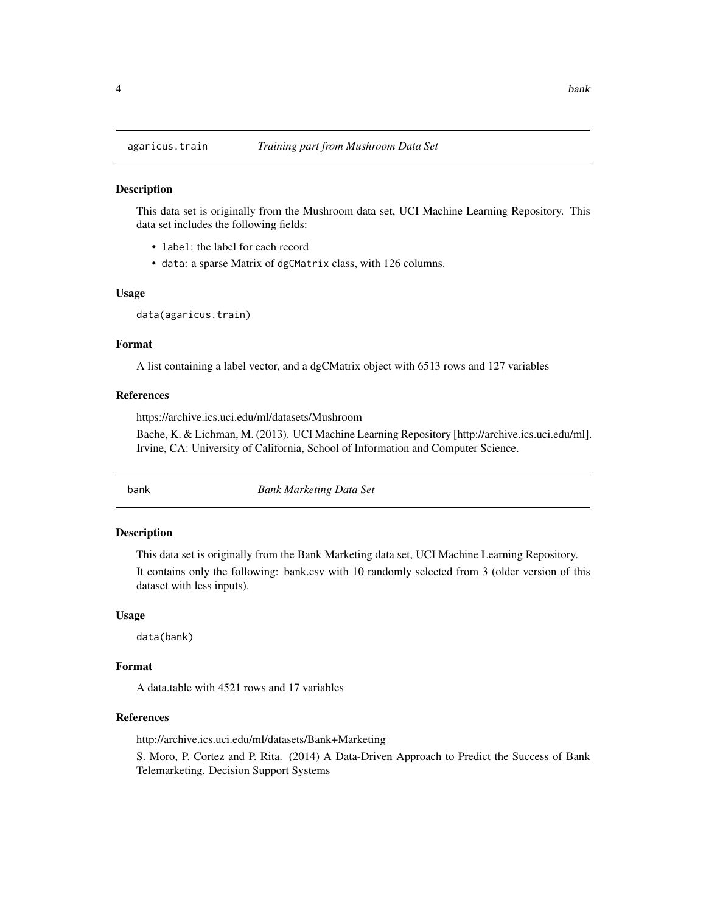## Description

This data set is originally from the Mushroom data set, UCI Machine Learning Repository. This data set includes the following fields:

- label: the label for each record
- data: a sparse Matrix of dgCMatrix class, with 126 columns.

#### Usage

data(agaricus.train)

#### Format

A list containing a label vector, and a dgCMatrix object with 6513 rows and 127 variables

#### References

https://archive.ics.uci.edu/ml/datasets/Mushroom

Bache, K. & Lichman, M. (2013). UCI Machine Learning Repository [http://archive.ics.uci.edu/ml]. Irvine, CA: University of California, School of Information and Computer Science.

bank *Bank Marketing Data Set*

#### Description

This data set is originally from the Bank Marketing data set, UCI Machine Learning Repository.

It contains only the following: bank.csv with 10 randomly selected from 3 (older version of this dataset with less inputs).

#### Usage

data(bank)

## Format

A data.table with 4521 rows and 17 variables

#### References

http://archive.ics.uci.edu/ml/datasets/Bank+Marketing

S. Moro, P. Cortez and P. Rita. (2014) A Data-Driven Approach to Predict the Success of Bank Telemarketing. Decision Support Systems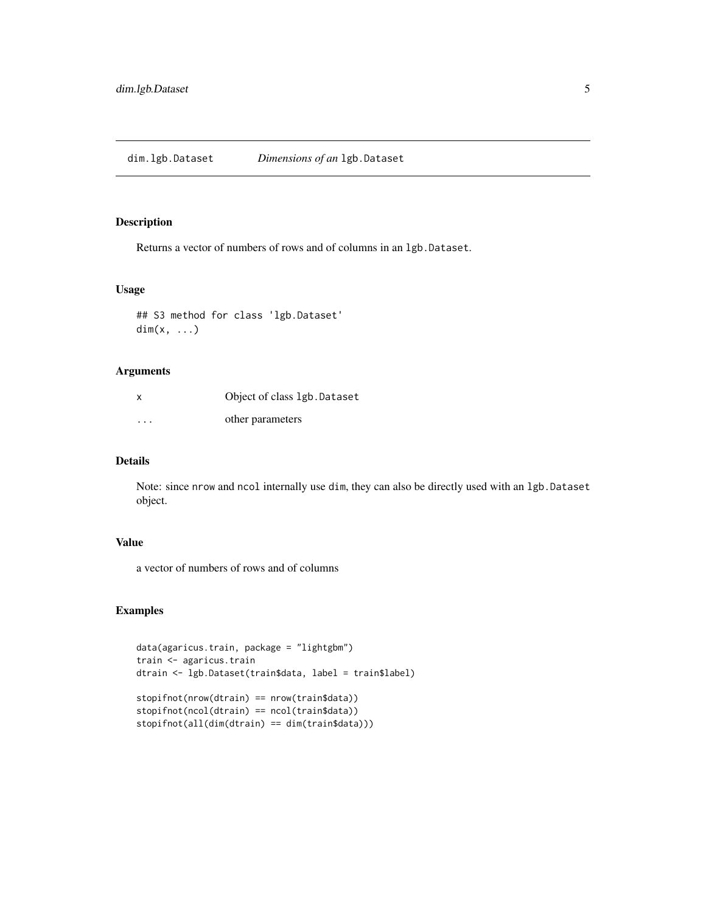## <span id="page-4-0"></span>Description

Returns a vector of numbers of rows and of columns in an lgb.Dataset.

#### Usage

```
## S3 method for class 'lgb.Dataset'
dim(x, \ldots)
```
#### Arguments

| X        | Object of class 1gb. Dataset |
|----------|------------------------------|
| $\cdots$ | other parameters             |

## Details

Note: since nrow and ncol internally use dim, they can also be directly used with an lgb.Dataset object.

## Value

a vector of numbers of rows and of columns

```
data(agaricus.train, package = "lightgbm")
train <- agaricus.train
dtrain <- lgb.Dataset(train$data, label = train$label)
stopifnot(nrow(dtrain) == nrow(train$data))
stopifnot(ncol(dtrain) == ncol(train$data))
stopifnot(all(dim(dtrain) == dim(train$data)))
```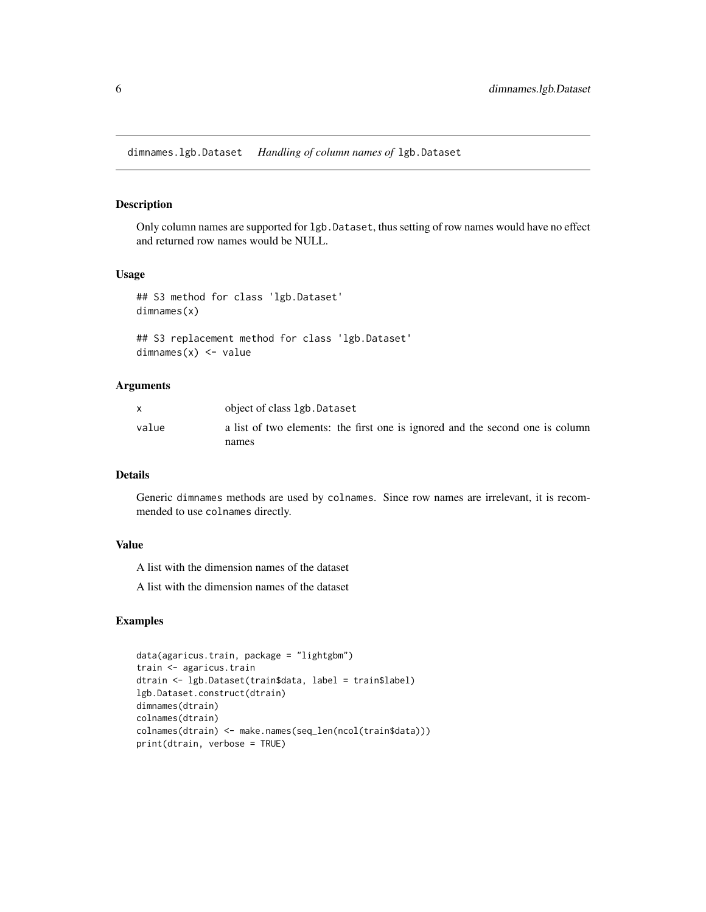<span id="page-5-0"></span>dimnames.lgb.Dataset *Handling of column names of* lgb.Dataset

## Description

Only column names are supported for lgb.Dataset, thus setting of row names would have no effect and returned row names would be NULL.

## Usage

```
## S3 method for class 'lgb.Dataset'
dimnames(x)
```

```
## S3 replacement method for class 'lgb.Dataset'
dimnames(x) <- value
```
#### Arguments

|       | object of class 1gb.Dataset                                                            |
|-------|----------------------------------------------------------------------------------------|
| value | a list of two elements: the first one is ignored and the second one is column<br>names |

### Details

Generic dimnames methods are used by colnames. Since row names are irrelevant, it is recommended to use colnames directly.

## Value

A list with the dimension names of the dataset

A list with the dimension names of the dataset

```
data(agaricus.train, package = "lightgbm")
train <- agaricus.train
dtrain <- lgb.Dataset(train$data, label = train$label)
lgb.Dataset.construct(dtrain)
dimnames(dtrain)
colnames(dtrain)
colnames(dtrain) <- make.names(seq_len(ncol(train$data)))
print(dtrain, verbose = TRUE)
```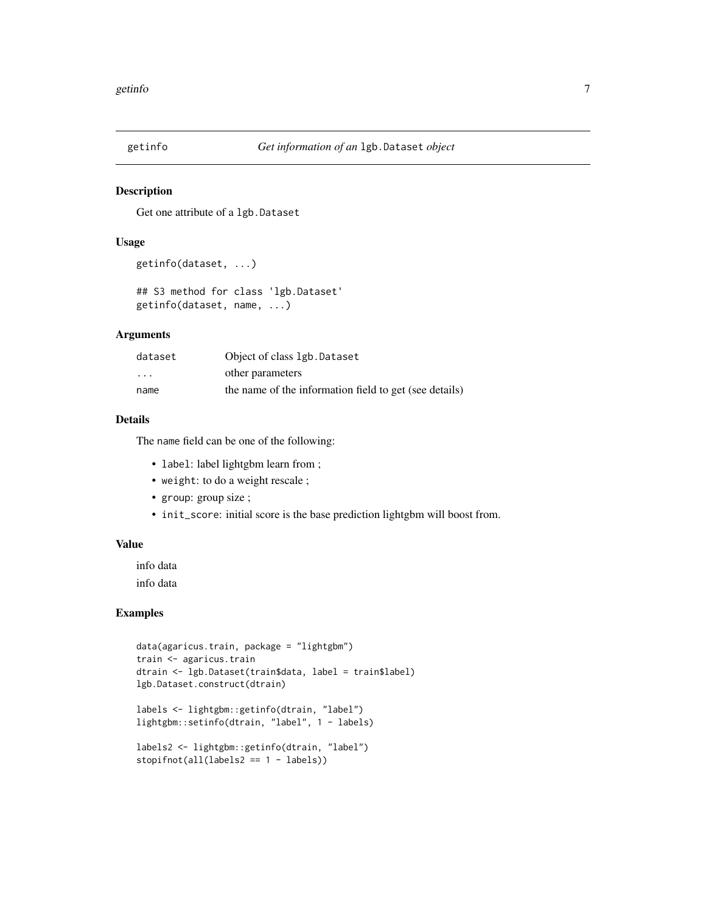<span id="page-6-0"></span>

## Description

Get one attribute of a lgb.Dataset

#### Usage

```
getinfo(dataset, ...)
```
## S3 method for class 'lgb.Dataset' getinfo(dataset, name, ...)

## Arguments

| dataset                 | Object of class 1gb. Dataset                           |
|-------------------------|--------------------------------------------------------|
| $\cdot$ $\cdot$ $\cdot$ | other parameters                                       |
| name                    | the name of the information field to get (see details) |

## Details

The name field can be one of the following:

- label: label lightgbm learn from ;
- weight: to do a weight rescale ;
- group: group size ;
- init\_score: initial score is the base prediction lightgbm will boost from.

#### Value

info data

info data

```
data(agaricus.train, package = "lightgbm")
train <- agaricus.train
dtrain <- lgb.Dataset(train$data, label = train$label)
lgb.Dataset.construct(dtrain)
labels <- lightgbm::getinfo(dtrain, "label")
lightgbm::setinfo(dtrain, "label", 1 - labels)
labels2 <- lightgbm::getinfo(dtrain, "label")
stopifnot(all(labels2 == 1 - labels))
```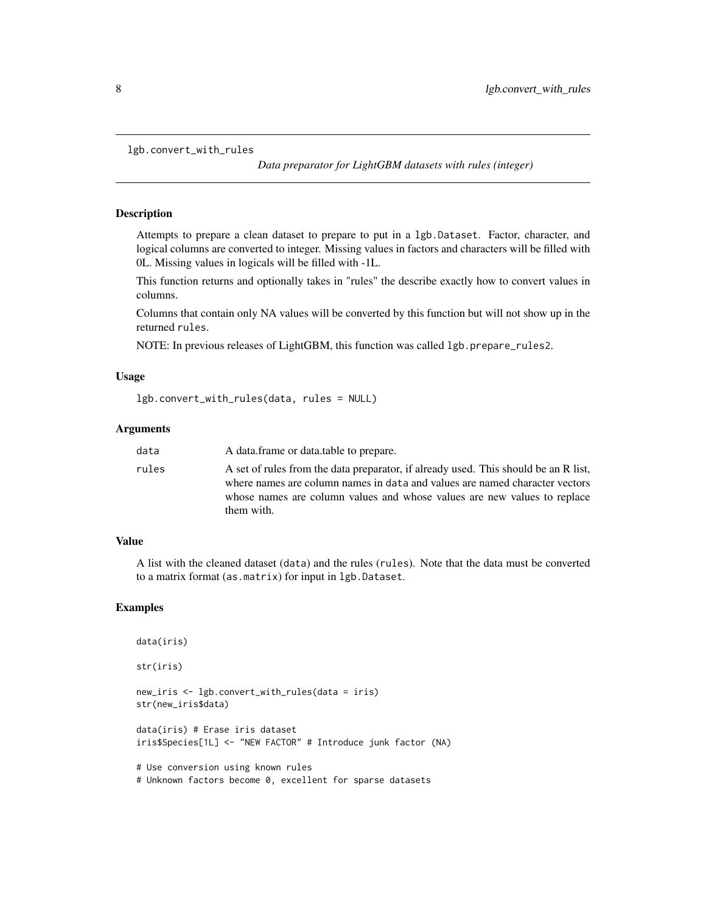<span id="page-7-0"></span>lgb.convert\_with\_rules

*Data preparator for LightGBM datasets with rules (integer)*

#### Description

Attempts to prepare a clean dataset to prepare to put in a lgb.Dataset. Factor, character, and logical columns are converted to integer. Missing values in factors and characters will be filled with 0L. Missing values in logicals will be filled with -1L.

This function returns and optionally takes in "rules" the describe exactly how to convert values in columns.

Columns that contain only NA values will be converted by this function but will not show up in the returned rules.

NOTE: In previous releases of LightGBM, this function was called lgb.prepare\_rules2.

#### Usage

```
lgb.convert_with_rules(data, rules = NULL)
```
#### Arguments

| data  | A data frame or data table to prepare.                                                                                                                                                                                                                       |
|-------|--------------------------------------------------------------------------------------------------------------------------------------------------------------------------------------------------------------------------------------------------------------|
| rules | A set of rules from the data preparator, if already used. This should be an R list,<br>where names are column names in data and values are named character vectors<br>whose names are column values and whose values are new values to replace<br>them with. |

#### Value

A list with the cleaned dataset (data) and the rules (rules). Note that the data must be converted to a matrix format (as.matrix) for input in lgb.Dataset.

#### Examples

data(iris) str(iris) new\_iris <- lgb.convert\_with\_rules(data = iris) str(new\_iris\$data) data(iris) # Erase iris dataset iris\$Species[1L] <- "NEW FACTOR" # Introduce junk factor (NA) # Use conversion using known rules # Unknown factors become 0, excellent for sparse datasets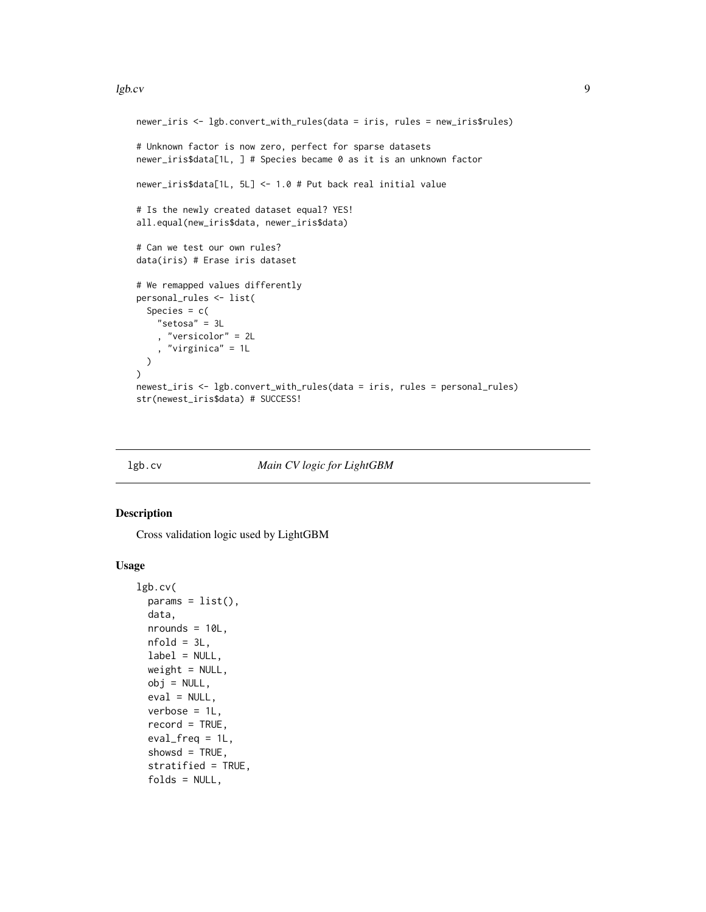#### <span id="page-8-0"></span>lgb.cv 9

```
newer_iris <- lgb.convert_with_rules(data = iris, rules = new_iris$rules)
# Unknown factor is now zero, perfect for sparse datasets
newer_iris$data[1L, ] # Species became 0 as it is an unknown factor
newer_iris$data[1L, 5L] <- 1.0 # Put back real initial value
# Is the newly created dataset equal? YES!
all.equal(new_iris$data, newer_iris$data)
# Can we test our own rules?
data(iris) # Erase iris dataset
# We remapped values differently
personal_rules <- list(
  Species = c("setosa" = 3L
    , "versicolor" = 2L
    , "virginica" = 1L
  )
)
newest_iris <- lgb.convert_with_rules(data = iris, rules = personal_rules)
str(newest_iris$data) # SUCCESS!
```
<span id="page-8-1"></span>

#### lgb.cv *Main CV logic for LightGBM*

#### Description

Cross validation logic used by LightGBM

#### Usage

```
lgb.cv(
 params = list(),data,
 nrounds = 10L,
 nfold = 3L,
  label = NULL,weight = NULL,obj = NULL,eval = NULL,verbose = 1L,
  record = TRUE,
  eval_freq = 1L,
  showsd = TRUE,
  stratified = TRUE,
  folds = NULL,
```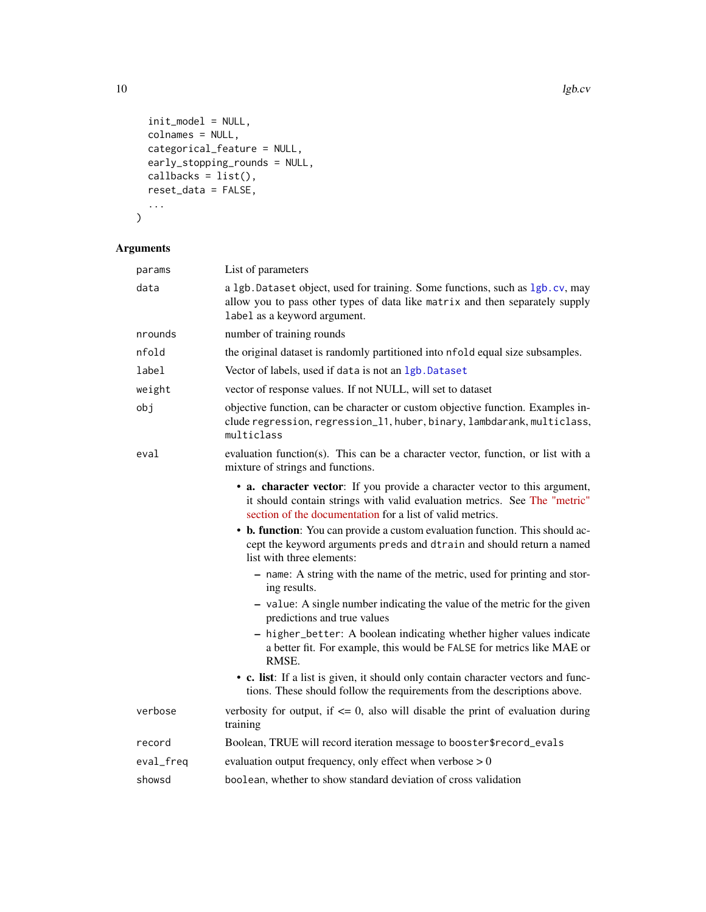```
init_model = NULL,
  colnames = NULL,
  categorical_feature = NULL,
  early_stopping_rounds = NULL,
  callbacks = list(),
  reset_data = FALSE,
  ...
\overline{\phantom{a}}
```
## Arguments

| params    | List of parameters                                                                                                                                                                                                   |
|-----------|----------------------------------------------------------------------------------------------------------------------------------------------------------------------------------------------------------------------|
| data      | a 1gb. Dataset object, used for training. Some functions, such as 1gb. cv, may<br>allow you to pass other types of data like matrix and then separately supply<br>label as a keyword argument.                       |
| nrounds   | number of training rounds                                                                                                                                                                                            |
| nfold     | the original dataset is randomly partitioned into nfold equal size subsamples.                                                                                                                                       |
| label     | Vector of labels, used if data is not an 1gb. Dataset                                                                                                                                                                |
| weight    | vector of response values. If not NULL, will set to dataset                                                                                                                                                          |
| obj       | objective function, can be character or custom objective function. Examples in-<br>clude regression, regression_11, huber, binary, lambdarank, multiclass,<br>multiclass                                             |
| eval      | evaluation function(s). This can be a character vector, function, or list with a<br>mixture of strings and functions.                                                                                                |
|           | • a. character vector: If you provide a character vector to this argument,<br>it should contain strings with valid evaluation metrics. See The "metric"<br>section of the documentation for a list of valid metrics. |
|           | • b. function: You can provide a custom evaluation function. This should ac-<br>cept the keyword arguments preds and dtrain and should return a named<br>list with three elements:                                   |
|           | - name: A string with the name of the metric, used for printing and stor-<br>ing results.                                                                                                                            |
|           | - value: A single number indicating the value of the metric for the given<br>predictions and true values                                                                                                             |
|           | - higher_better: A boolean indicating whether higher values indicate<br>a better fit. For example, this would be FALSE for metrics like MAE or<br>RMSE.                                                              |
|           | • c. list: If a list is given, it should only contain character vectors and func-<br>tions. These should follow the requirements from the descriptions above.                                                        |
| verbose   | verbosity for output, if $\leq 0$ , also will disable the print of evaluation during<br>training                                                                                                                     |
| record    | Boolean, TRUE will record iteration message to booster\$record_evals                                                                                                                                                 |
| eval_freq | evaluation output frequency, only effect when verbose $> 0$                                                                                                                                                          |
| showsd    | boolean, whether to show standard deviation of cross validation                                                                                                                                                      |

<span id="page-9-0"></span>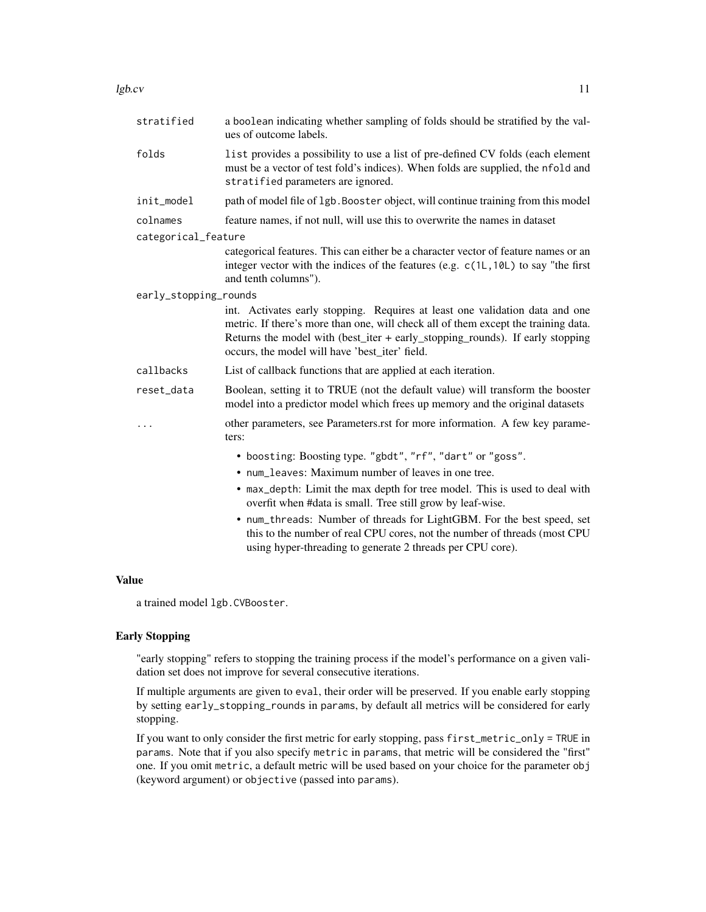#### $\lg$ b.cv 11

| stratified            | a boolean indicating whether sampling of folds should be stratified by the val-<br>ues of outcome labels.                                                                                                                                                                                             |
|-----------------------|-------------------------------------------------------------------------------------------------------------------------------------------------------------------------------------------------------------------------------------------------------------------------------------------------------|
| folds                 | list provides a possibility to use a list of pre-defined CV folds (each element<br>must be a vector of test fold's indices). When folds are supplied, the nfold and<br>stratified parameters are ignored.                                                                                             |
| init_model            | path of model file of 1gb. Booster object, will continue training from this model                                                                                                                                                                                                                     |
| colnames              | feature names, if not null, will use this to overwrite the names in dataset                                                                                                                                                                                                                           |
| categorical_feature   |                                                                                                                                                                                                                                                                                                       |
|                       | categorical features. This can either be a character vector of feature names or an<br>integer vector with the indices of the features (e.g. c(1L, 10L) to say "the first<br>and tenth columns").                                                                                                      |
| early_stopping_rounds |                                                                                                                                                                                                                                                                                                       |
|                       | int. Activates early stopping. Requires at least one validation data and one<br>metric. If there's more than one, will check all of them except the training data.<br>Returns the model with (best_iter + early_stopping_rounds). If early stopping<br>occurs, the model will have 'best_iter' field. |
| callbacks             | List of callback functions that are applied at each iteration.                                                                                                                                                                                                                                        |
| reset_data            | Boolean, setting it to TRUE (not the default value) will transform the booster<br>model into a predictor model which frees up memory and the original datasets                                                                                                                                        |
|                       | other parameters, see Parameters.rst for more information. A few key parame-<br>ters:                                                                                                                                                                                                                 |
|                       | • boosting: Boosting type. "gbdt", "rf", "dart" or "goss".                                                                                                                                                                                                                                            |
|                       | • num_leaves: Maximum number of leaves in one tree.                                                                                                                                                                                                                                                   |
|                       | • max_depth: Limit the max depth for tree model. This is used to deal with<br>overfit when #data is small. Tree still grow by leaf-wise.                                                                                                                                                              |
|                       | $\mathbf{H} = \mathbf{H} \mathbf{M} + \mathbf{H} \mathbf{G} \mathbf{H} + \mathbf{H} \mathbf{G} \mathbf{H} \mathbf{H} \mathbf{G} \mathbf{H} \mathbf{M} \mathbf{H} + \mathbf{H} \mathbf{H} \mathbf{H} \mathbf{H} + \mathbf{H} \mathbf{H} \mathbf{H} \mathbf{H}$                                         |

• num\_threads: Number of threads for LightGBM. For the best speed, set this to the number of real CPU cores, not the number of threads (most CPU using hyper-threading to generate 2 threads per CPU core).

#### Value

a trained model lgb.CVBooster.

## Early Stopping

"early stopping" refers to stopping the training process if the model's performance on a given validation set does not improve for several consecutive iterations.

If multiple arguments are given to eval, their order will be preserved. If you enable early stopping by setting early\_stopping\_rounds in params, by default all metrics will be considered for early stopping.

If you want to only consider the first metric for early stopping, pass first\_metric\_only = TRUE in params. Note that if you also specify metric in params, that metric will be considered the "first" one. If you omit metric, a default metric will be used based on your choice for the parameter obj (keyword argument) or objective (passed into params).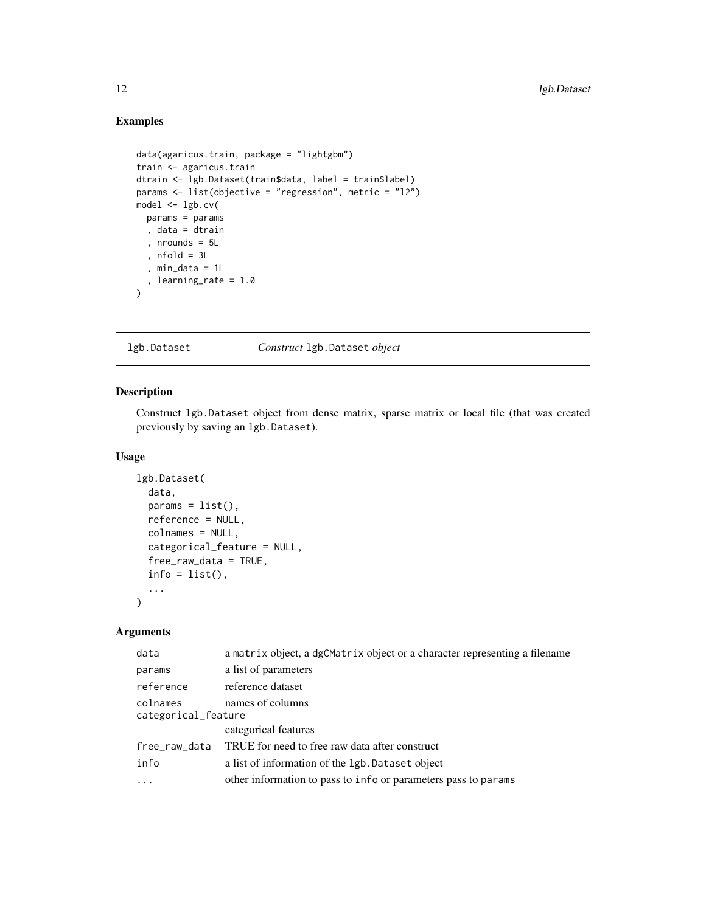## Examples

```
data(agaricus.train, package = "lightgbm")
train <- agaricus.train
dtrain <- lgb.Dataset(train$data, label = train$label)
params <- list(objective = "regression", metric = "l2")
model <- lgb.cv(
  params = params
  , data = dtrain
  , nrounds = 5L
  , nfold = 3L
  , min_data = 1L
  , learning_rate = 1.0
\mathcal{L}
```
<span id="page-11-1"></span>lgb.Dataset *Construct* lgb.Dataset *object*

## Description

Construct lgb.Dataset object from dense matrix, sparse matrix or local file (that was created previously by saving an lgb.Dataset).

#### Usage

```
lgb.Dataset(
  data,
  params = list(),reference = NULL,
  colnames = NULL,
  categorical_feature = NULL,
  free_raw_data = TRUE,
  info = list(),
  ...
\mathcal{L}
```
#### Arguments

| a matrix object, a dgCMatrix object or a character representing a filename |
|----------------------------------------------------------------------------|
| a list of parameters                                                       |
| reference dataset                                                          |
| names of columns<br>categorical_feature                                    |
| categorical features                                                       |
| TRUE for need to free raw data after construct                             |
| a list of information of the 1gb. Dataset object                           |
| other information to pass to info or parameters pass to params             |
|                                                                            |

<span id="page-11-0"></span>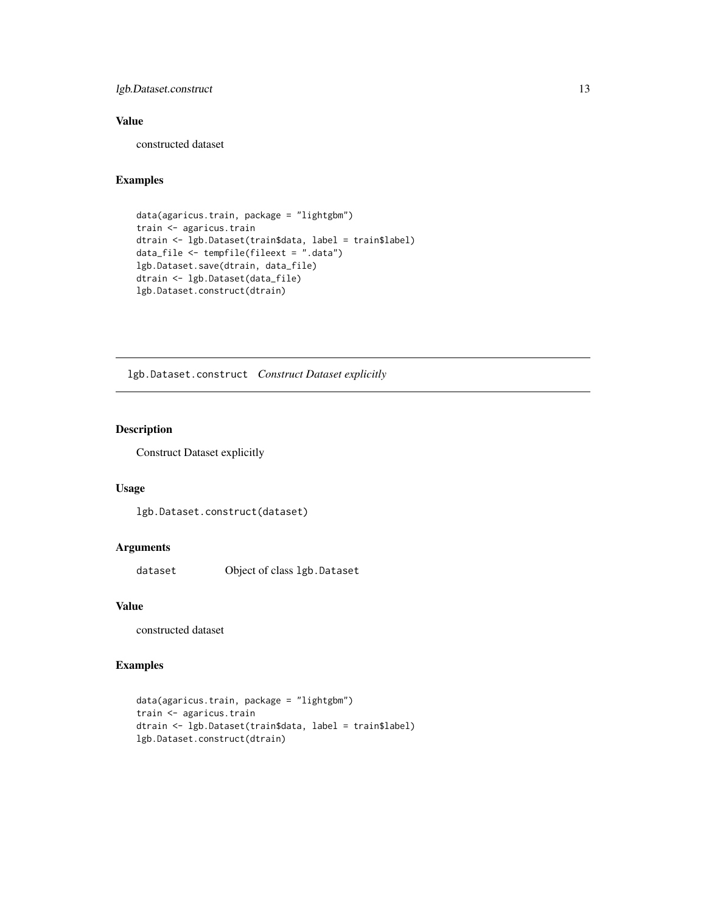## <span id="page-12-0"></span>lgb.Dataset.construct 13

## Value

constructed dataset

## Examples

```
data(agaricus.train, package = "lightgbm")
train <- agaricus.train
dtrain <- lgb.Dataset(train$data, label = train$label)
data_file <- tempfile(fileext = ".data")
lgb.Dataset.save(dtrain, data_file)
dtrain <- lgb.Dataset(data_file)
lgb.Dataset.construct(dtrain)
```
lgb.Dataset.construct *Construct Dataset explicitly*

## Description

Construct Dataset explicitly

## Usage

lgb.Dataset.construct(dataset)

#### Arguments

dataset Object of class lgb.Dataset

#### Value

constructed dataset

```
data(agaricus.train, package = "lightgbm")
train <- agaricus.train
dtrain <- lgb.Dataset(train$data, label = train$label)
lgb.Dataset.construct(dtrain)
```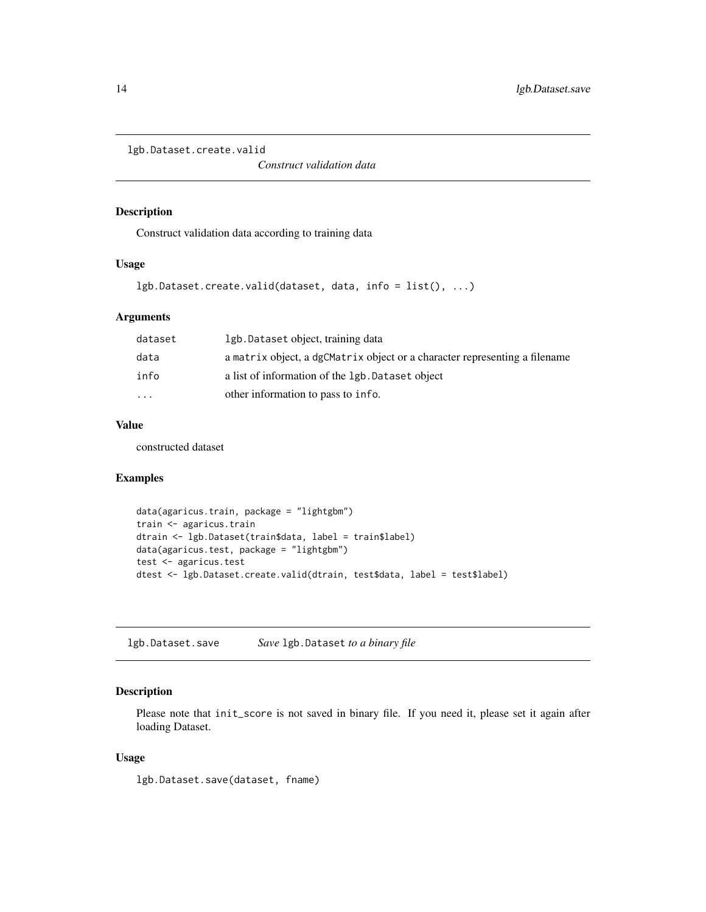<span id="page-13-0"></span>lgb.Dataset.create.valid

*Construct validation data*

### Description

Construct validation data according to training data

#### Usage

```
lgb.Dataset.create.valid(dataset, data, info = list(), ...)
```
## Arguments

| dataset           | 1gb. Dataset object, training data                                         |
|-------------------|----------------------------------------------------------------------------|
| data              | a matrix object, a dgCMatrix object or a character representing a filename |
| info              | a list of information of the 1gb. Dataset object                           |
| $\cdot\cdot\cdot$ | other information to pass to info.                                         |
|                   |                                                                            |

## Value

constructed dataset

## Examples

```
data(agaricus.train, package = "lightgbm")
train <- agaricus.train
dtrain <- lgb.Dataset(train$data, label = train$label)
data(agaricus.test, package = "lightgbm")
test <- agaricus.test
dtest <- lgb.Dataset.create.valid(dtrain, test$data, label = test$label)
```
lgb.Dataset.save *Save* lgb.Dataset *to a binary file*

## Description

Please note that init\_score is not saved in binary file. If you need it, please set it again after loading Dataset.

#### Usage

lgb.Dataset.save(dataset, fname)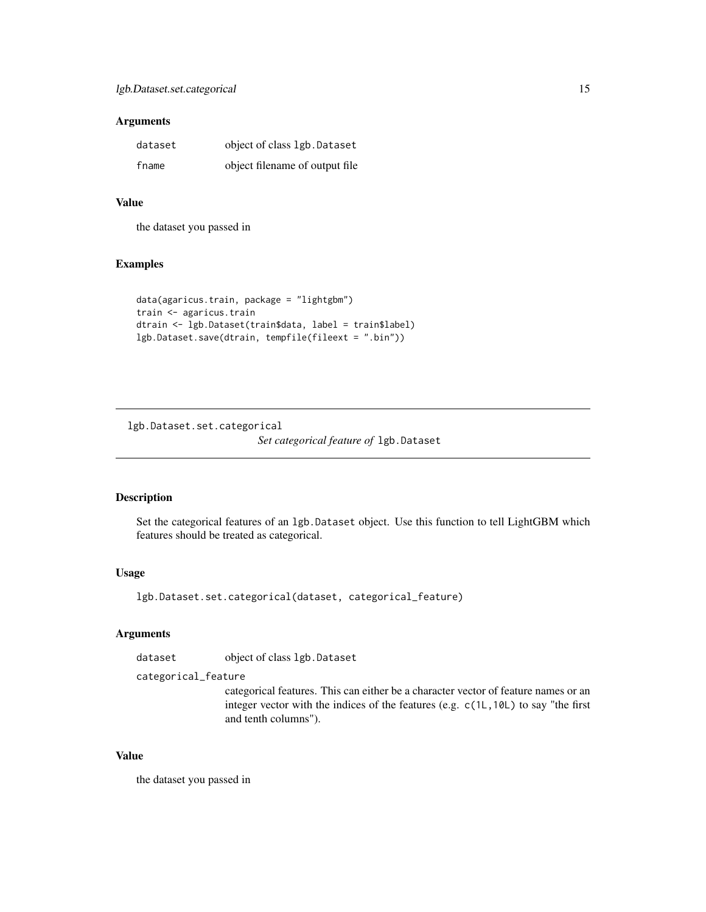#### <span id="page-14-0"></span>Arguments

| dataset | object of class 1gb. Dataset    |
|---------|---------------------------------|
| fname   | object filename of output file. |

## Value

the dataset you passed in

#### Examples

```
data(agaricus.train, package = "lightgbm")
train <- agaricus.train
dtrain <- lgb.Dataset(train$data, label = train$label)
lgb.Dataset.save(dtrain, tempfile(fileext = ".bin"))
```
lgb.Dataset.set.categorical *Set categorical feature of* lgb.Dataset

## Description

Set the categorical features of an lgb.Dataset object. Use this function to tell LightGBM which features should be treated as categorical.

#### Usage

lgb.Dataset.set.categorical(dataset, categorical\_feature)

## Arguments

dataset object of class lgb.Dataset

categorical\_feature

categorical features. This can either be a character vector of feature names or an integer vector with the indices of the features (e.g. c(1L,10L) to say "the first and tenth columns").

#### Value

the dataset you passed in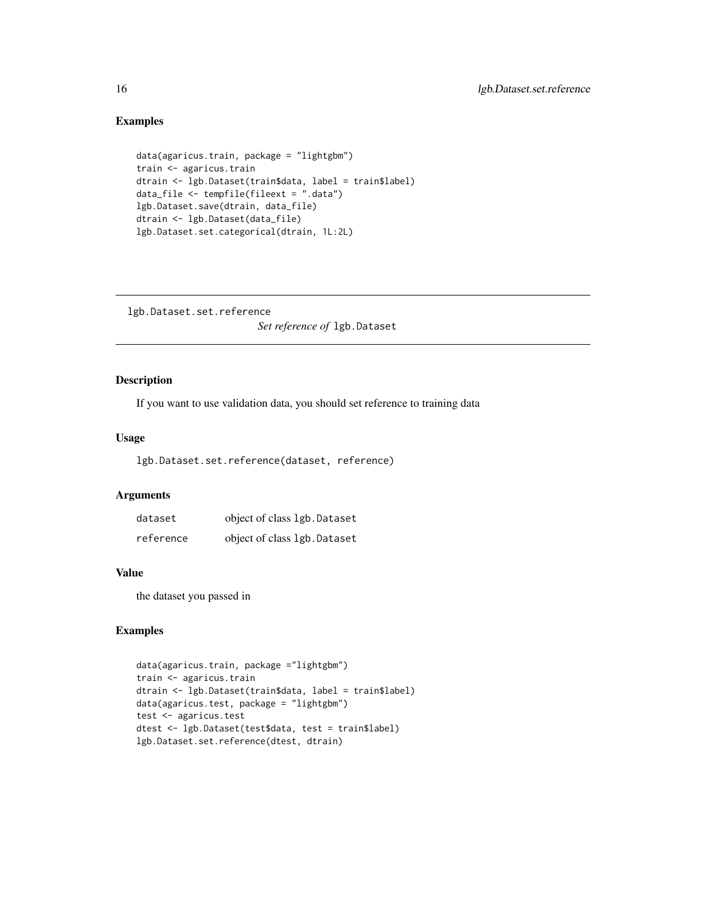## Examples

```
data(agaricus.train, package = "lightgbm")
train <- agaricus.train
dtrain <- lgb.Dataset(train$data, label = train$label)
data_file <- tempfile(fileext = ".data")
lgb.Dataset.save(dtrain, data_file)
dtrain <- lgb.Dataset(data_file)
lgb.Dataset.set.categorical(dtrain, 1L:2L)
```
lgb.Dataset.set.reference *Set reference of* lgb.Dataset

## Description

If you want to use validation data, you should set reference to training data

#### Usage

lgb.Dataset.set.reference(dataset, reference)

#### Arguments

| dataset   | object of class 1gb. Dataset |
|-----------|------------------------------|
| reference | object of class 1gb. Dataset |

#### Value

the dataset you passed in

```
data(agaricus.train, package ="lightgbm")
train <- agaricus.train
dtrain <- lgb.Dataset(train$data, label = train$label)
data(agaricus.test, package = "lightgbm")
test <- agaricus.test
dtest <- lgb.Dataset(test$data, test = train$label)
lgb.Dataset.set.reference(dtest, dtrain)
```
<span id="page-15-0"></span>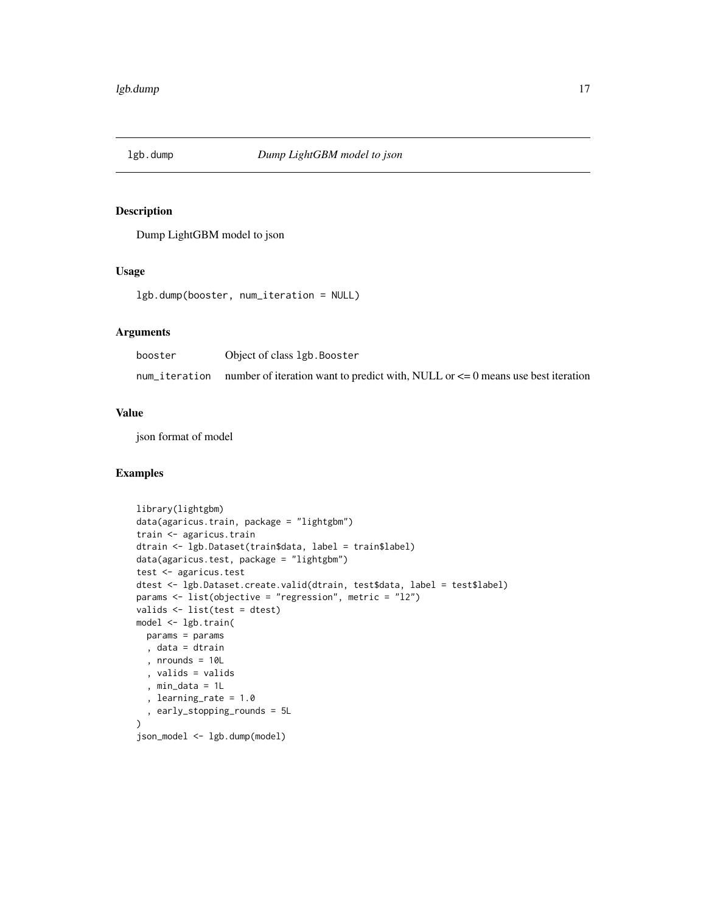<span id="page-16-0"></span>

## Description

Dump LightGBM model to json

## Usage

lgb.dump(booster, num\_iteration = NULL)

## Arguments

| booster | Object of class 1gb. Booster                                                                      |
|---------|---------------------------------------------------------------------------------------------------|
|         | num_iteration number of iteration want to predict with, NULL or $\leq 0$ means use best iteration |

## Value

json format of model

```
library(lightgbm)
data(agaricus.train, package = "lightgbm")
train <- agaricus.train
dtrain <- lgb.Dataset(train$data, label = train$label)
data(agaricus.test, package = "lightgbm")
test <- agaricus.test
dtest <- lgb.Dataset.create.valid(dtrain, test$data, label = test$label)
params <- list(objective = "regression", metric = "l2")
valids <- list(test = dtest)
model <- lgb.train(
 params = params
 , data = dtrain
  , nrounds = 10L
  , valids = valids
  , min_data = 1L
  , learning_rate = 1.0
  , early_stopping_rounds = 5L
)
json_model <- lgb.dump(model)
```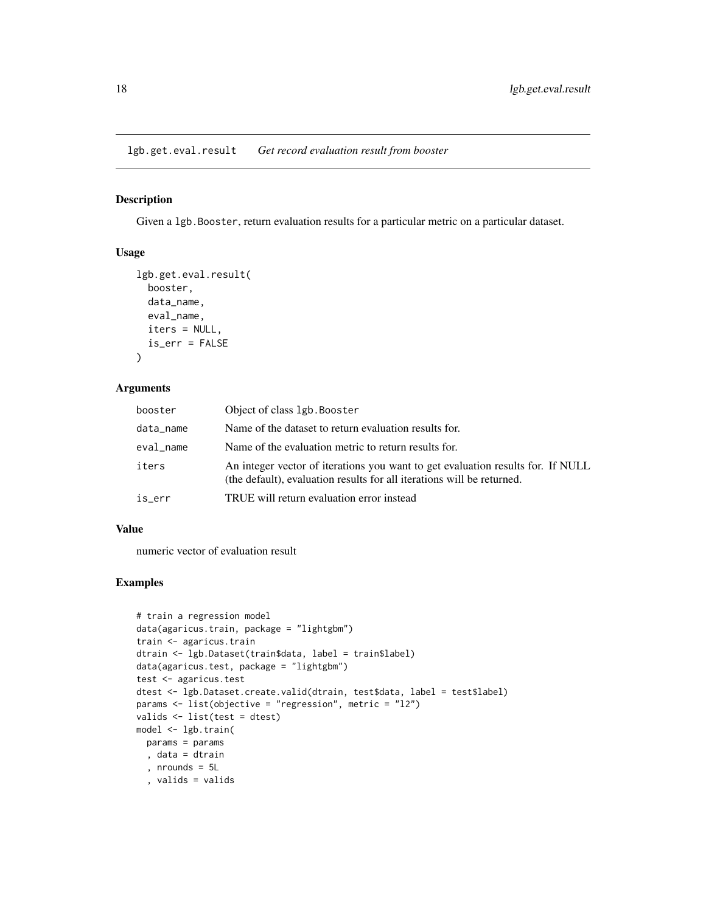<span id="page-17-0"></span>lgb.get.eval.result *Get record evaluation result from booster*

#### Description

Given a lgb.Booster, return evaluation results for a particular metric on a particular dataset.

## Usage

```
lgb.get.eval.result(
 booster,
  data_name,
  eval_name,
  iters = NULL,
  is_err = FALSE
)
```
#### Arguments

| booster   | Object of class 1gb. Booster                                                                                                                              |
|-----------|-----------------------------------------------------------------------------------------------------------------------------------------------------------|
| data_name | Name of the dataset to return evaluation results for.                                                                                                     |
| eval_name | Name of the evaluation metric to return results for.                                                                                                      |
| iters     | An integer vector of iterations you want to get evaluation results for. If NULL<br>(the default), evaluation results for all iterations will be returned. |
| is err    | TRUE will return evaluation error instead                                                                                                                 |

#### Value

numeric vector of evaluation result

```
# train a regression model
data(agaricus.train, package = "lightgbm")
train <- agaricus.train
dtrain <- lgb.Dataset(train$data, label = train$label)
data(agaricus.test, package = "lightgbm")
test <- agaricus.test
dtest <- lgb.Dataset.create.valid(dtrain, test$data, label = test$label)
params <- list(objective = "regression", metric = "l2")
valids <- list(test = dtest)
model <- lgb.train(
 params = params
  , data = dtrain
  , nrounds = 5L
  , valids = valids
```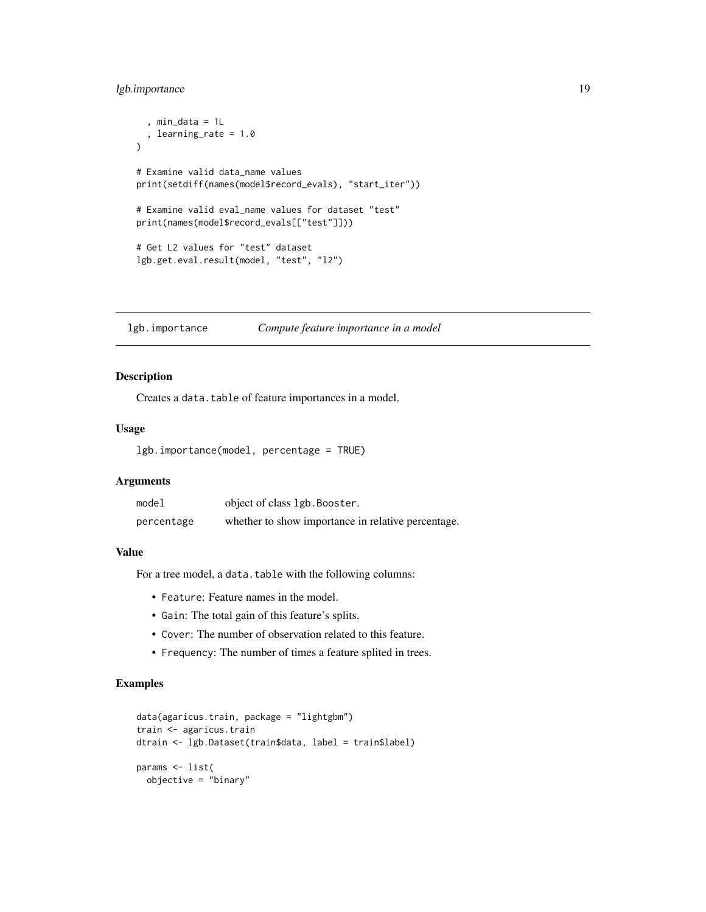## <span id="page-18-0"></span>lgb.importance 19

```
, min_data = 1L
  , learning_rate = 1.0
)
# Examine valid data_name values
print(setdiff(names(model$record_evals), "start_iter"))
# Examine valid eval_name values for dataset "test"
print(names(model$record_evals[["test"]]))
# Get L2 values for "test" dataset
lgb.get.eval.result(model, "test", "l2")
```
<span id="page-18-1"></span>lgb.importance *Compute feature importance in a model*

## Description

Creates a data.table of feature importances in a model.

#### Usage

lgb.importance(model, percentage = TRUE)

## Arguments

| model      | object of class 1gb. Booster.                      |
|------------|----------------------------------------------------|
| percentage | whether to show importance in relative percentage. |

## Value

For a tree model, a data.table with the following columns:

- Feature: Feature names in the model.
- Gain: The total gain of this feature's splits.
- Cover: The number of observation related to this feature.
- Frequency: The number of times a feature splited in trees.

```
data(agaricus.train, package = "lightgbm")
train <- agaricus.train
dtrain <- lgb.Dataset(train$data, label = train$label)
params <- list(
 objective = "binary"
```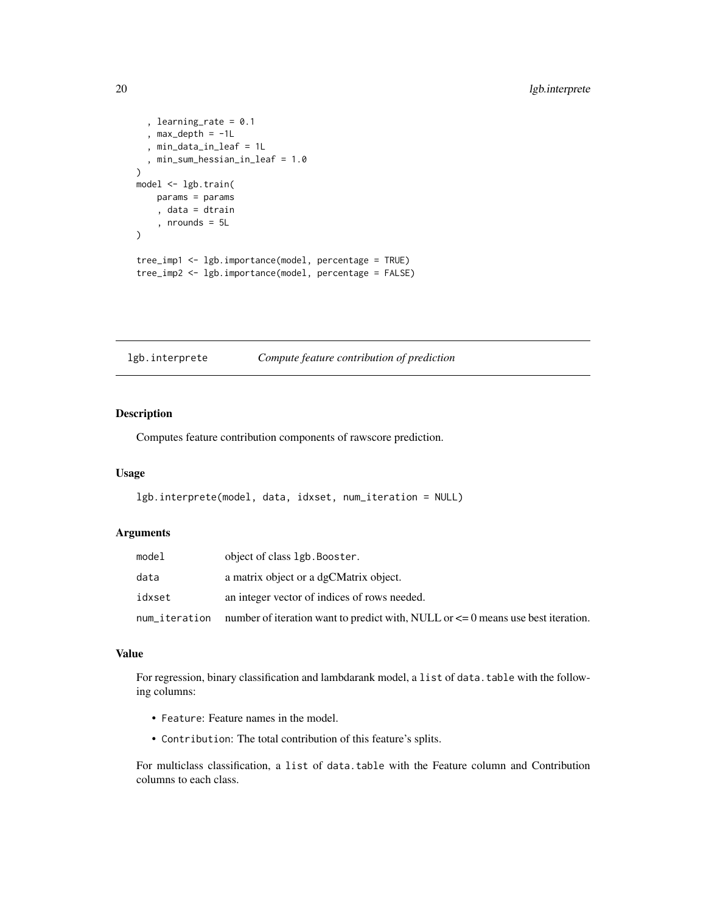```
, learning_rate = 0.1, max_depth = -1L, min_data_in_leaf = 1L
  , min_sum_hessian_in_leaf = 1.0
)
model <- lgb.train(
   params = params
    , data = dtrain
    , nrounds = 5L
\lambdatree_imp1 <- lgb.importance(model, percentage = TRUE)
tree_imp2 <- lgb.importance(model, percentage = FALSE)
```
<span id="page-19-1"></span>lgb.interprete *Compute feature contribution of prediction*

#### Description

Computes feature contribution components of rawscore prediction.

#### Usage

```
lgb.interprete(model, data, idxset, num_iteration = NULL)
```
#### Arguments

| model         | object of class 1gb. Booster.                                                        |
|---------------|--------------------------------------------------------------------------------------|
| data          | a matrix object or a dgCMatrix object.                                               |
| idxset        | an integer vector of indices of rows needed.                                         |
| num_iteration | number of iteration want to predict with, NULL or $\leq$ 0 means use best iteration. |

#### Value

For regression, binary classification and lambdarank model, a list of data.table with the following columns:

- Feature: Feature names in the model.
- Contribution: The total contribution of this feature's splits.

For multiclass classification, a list of data.table with the Feature column and Contribution columns to each class.

<span id="page-19-0"></span>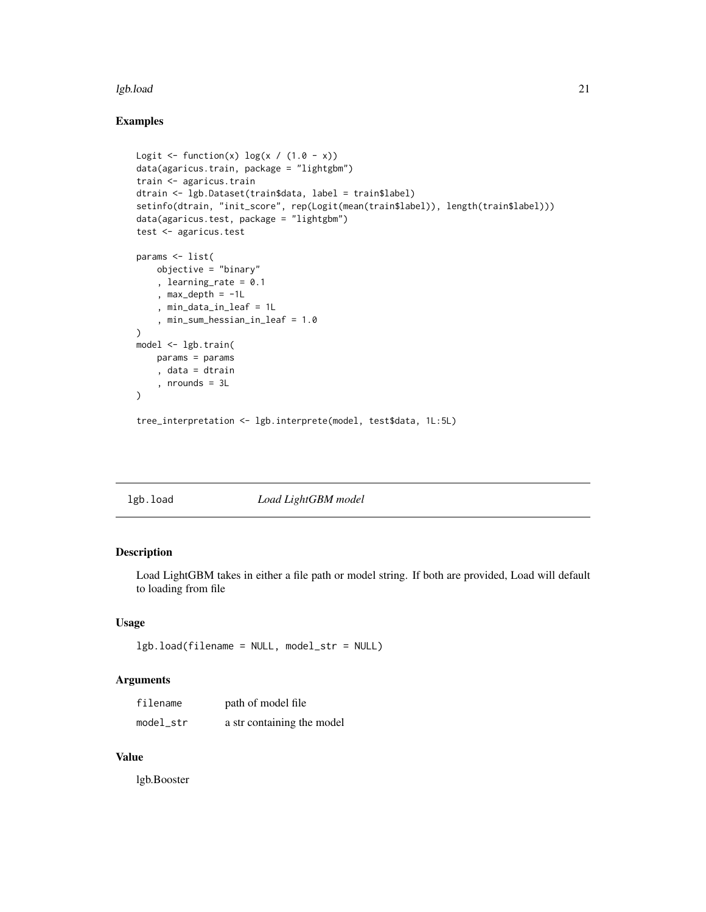#### <span id="page-20-0"></span>lgb.load 21

## Examples

```
Logit \leftarrow function(x) log(x / (1.0 - x))
data(agaricus.train, package = "lightgbm")
train <- agaricus.train
dtrain <- lgb.Dataset(train$data, label = train$label)
setinfo(dtrain, "init_score", rep(Logit(mean(train$label)), length(train$label)))
data(agaricus.test, package = "lightgbm")
test <- agaricus.test
params <- list(
    objective = "binary"
    , learning_rate = 0.1
    , max_depth = -1L, min_data_in_leaf = 1L
    , min_sum_hessian_in_leaf = 1.0
\mathcal{L}model <- lgb.train(
    params = params
    , data = dtrain
    , nrounds = 3L
)
```
tree\_interpretation <- lgb.interprete(model, test\$data, 1L:5L)

lgb.load *Load LightGBM model*

## Description

Load LightGBM takes in either a file path or model string. If both are provided, Load will default to loading from file

#### Usage

```
lgb.load(filename = NULL, model_str = NULL)
```
#### Arguments

| filename  | path of model file         |
|-----------|----------------------------|
| model_str | a str containing the model |

#### Value

lgb.Booster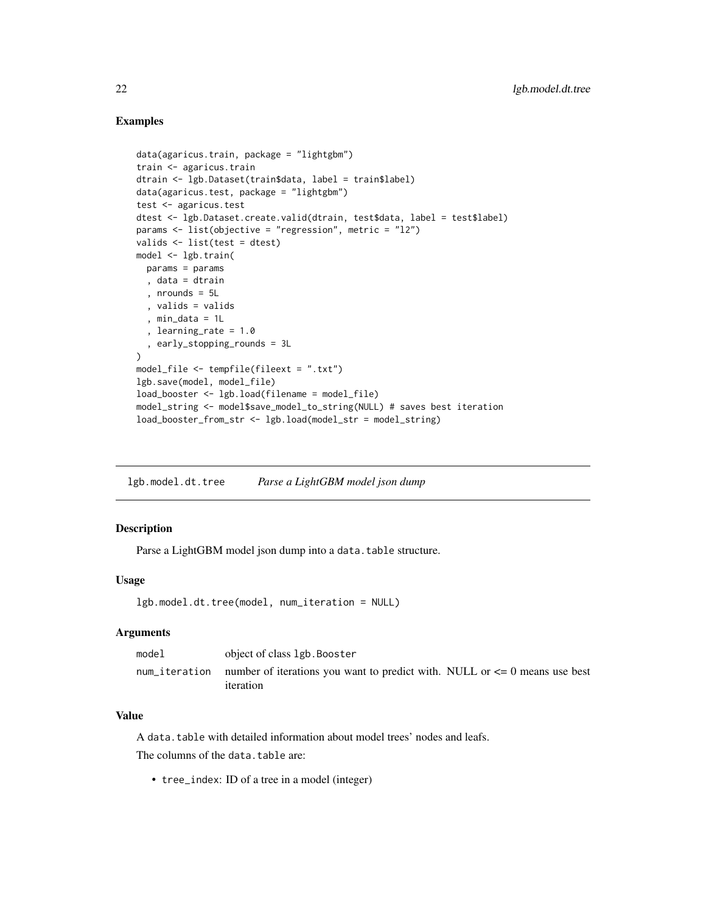#### Examples

```
data(agaricus.train, package = "lightgbm")
train <- agaricus.train
dtrain <- lgb.Dataset(train$data, label = train$label)
data(agaricus.test, package = "lightgbm")
test <- agaricus.test
dtest <- lgb.Dataset.create.valid(dtrain, test$data, label = test$label)
params <- list(objective = "regression", metric = "l2")
valids <- list(test = dtest)
model <- lgb.train(
 params = params
  , data = dtrain
  , nrounds = 5L
  , valids = valids
  , min_data = 1L
  , learning_rate = 1.0
  , early_stopping_rounds = 3L
\lambdamodel_file <- tempfile(fileext = ".txt")
lgb.save(model, model_file)
load_booster <- lgb.load(filename = model_file)
model_string <- model$save_model_to_string(NULL) # saves best iteration
load_booster_from_str <- lgb.load(model_str = model_string)
```
lgb.model.dt.tree *Parse a LightGBM model json dump*

#### Description

Parse a LightGBM model json dump into a data.table structure.

#### Usage

```
lgb.model.dt.tree(model, num_iteration = NULL)
```
#### Arguments

| model | object of class 1gb. Booster                                                                              |
|-------|-----------------------------------------------------------------------------------------------------------|
|       | num iteration number of iterations you want to predict with. NULL or $\leq 0$ means use best<br>iteration |

## Value

A data.table with detailed information about model trees' nodes and leafs.

The columns of the data.table are:

• tree\_index: ID of a tree in a model (integer)

<span id="page-21-0"></span>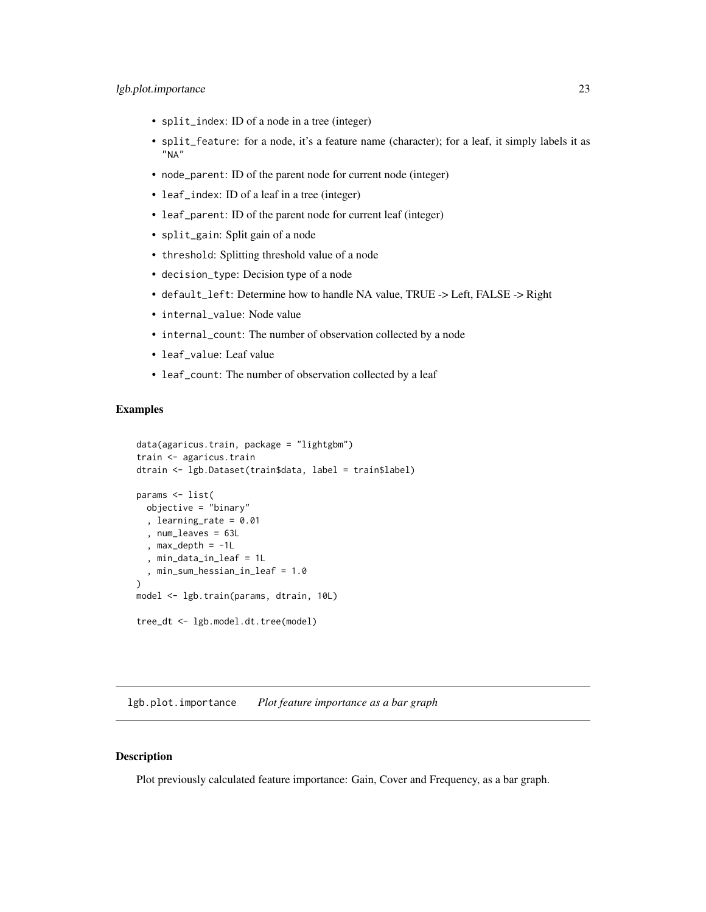- <span id="page-22-0"></span>• split\_index: ID of a node in a tree (integer)
- split\_feature: for a node, it's a feature name (character); for a leaf, it simply labels it as "NA"
- node\_parent: ID of the parent node for current node (integer)
- leaf\_index: ID of a leaf in a tree (integer)
- leaf\_parent: ID of the parent node for current leaf (integer)
- split\_gain: Split gain of a node
- threshold: Splitting threshold value of a node
- decision\_type: Decision type of a node
- default\_left: Determine how to handle NA value, TRUE -> Left, FALSE -> Right
- internal\_value: Node value
- internal\_count: The number of observation collected by a node
- leaf\_value: Leaf value
- leaf\_count: The number of observation collected by a leaf

#### Examples

```
data(agaricus.train, package = "lightgbm")
train <- agaricus.train
dtrain <- lgb.Dataset(train$data, label = train$label)
params <- list(
  objective = "binary"
  , learning_rate = 0.01
  , num_leaves = 63L
  , max_depth = -1L
  , min_data_in_leaf = 1L
  , min_sum_hessian_in_leaf = 1.0
)
model <- lgb.train(params, dtrain, 10L)
tree_dt <- lgb.model.dt.tree(model)
```
lgb.plot.importance *Plot feature importance as a bar graph*

#### Description

Plot previously calculated feature importance: Gain, Cover and Frequency, as a bar graph.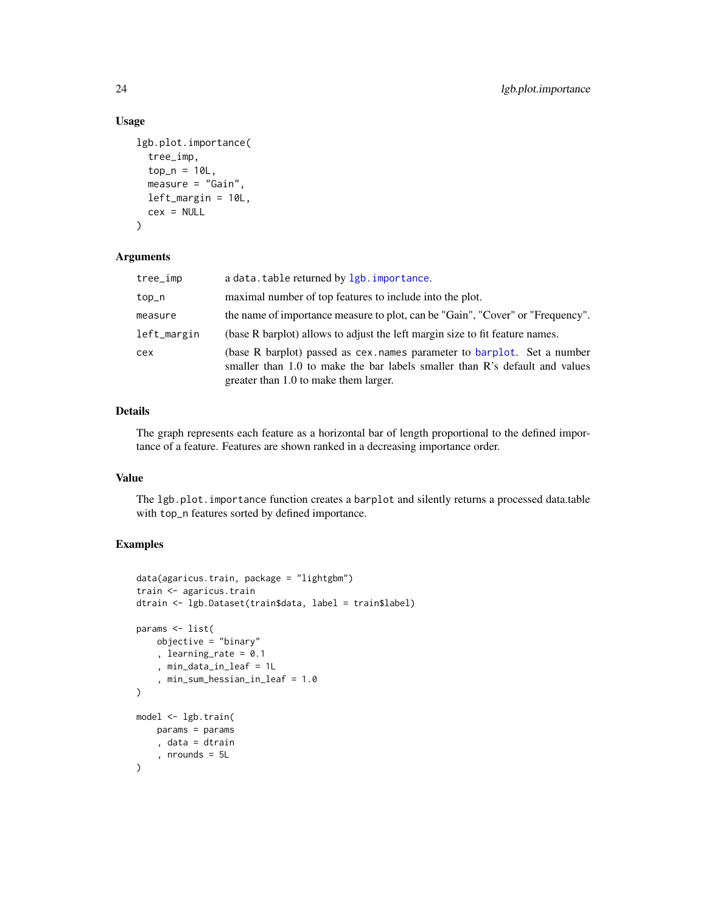## Usage

```
lgb.plot.importance(
  tree_imp,
  top_n = 10L,
 measure = "Gain",
 left_margin = 10L,
  cex = NULL)
```
## Arguments

| tree_imp    | a data. table returned by lgb. importance.                                                                                                                                                       |
|-------------|--------------------------------------------------------------------------------------------------------------------------------------------------------------------------------------------------|
| top_n       | maximal number of top features to include into the plot.                                                                                                                                         |
| measure     | the name of importance measure to plot, can be "Gain", "Cover" or "Frequency".                                                                                                                   |
| left_margin | (base R barplot) allows to adjust the left margin size to fit feature names.                                                                                                                     |
| cex         | (base R barplot) passed as cex. names parameter to barplot. Set a number<br>smaller than 1.0 to make the bar labels smaller than R's default and values<br>greater than 1.0 to make them larger. |

## Details

The graph represents each feature as a horizontal bar of length proportional to the defined importance of a feature. Features are shown ranked in a decreasing importance order.

## Value

The lgb.plot.importance function creates a barplot and silently returns a processed data.table with top\_n features sorted by defined importance.

```
data(agaricus.train, package = "lightgbm")
train <- agaricus.train
dtrain <- lgb.Dataset(train$data, label = train$label)
params <- list(
    objective = "binary"
    , learning_rate = 0.1
    , min_data_in_leaf = 1L
    , min_sum_hessian_in_leaf = 1.0
\mathcal{L}model <- lgb.train(
    params = params
    , data = dtrain
    , nrounds = 5L
)
```
<span id="page-23-0"></span>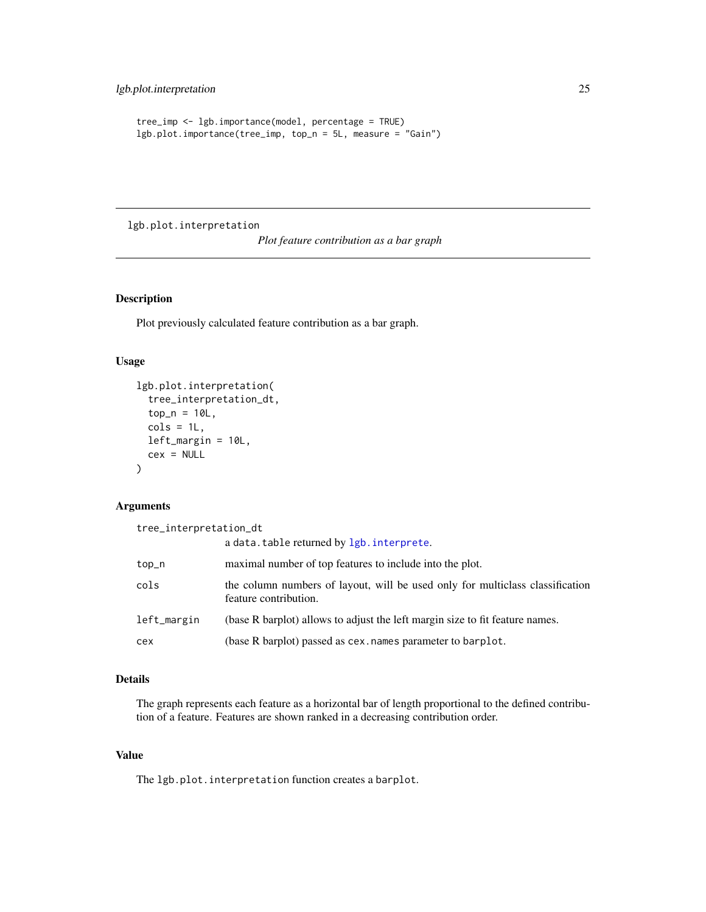```
tree_imp <- lgb.importance(model, percentage = TRUE)
lgb.plot.importance(tree_imp, top_n = 5L, measure = "Gain")
```
lgb.plot.interpretation

*Plot feature contribution as a bar graph*

## Description

Plot previously calculated feature contribution as a bar graph.

## Usage

```
lgb.plot.interpretation(
  tree_interpretation_dt,
  top_n = 10L,
 cols = 1L,left_margin = 10L,
  cex = NULL)
```
## Arguments

tree\_interpretation\_dt

|             | a data. table returned by lgb. interprete.                                                             |
|-------------|--------------------------------------------------------------------------------------------------------|
| top_n       | maximal number of top features to include into the plot.                                               |
| cols        | the column numbers of layout, will be used only for multiclass classification<br>feature contribution. |
| left_margin | (base R barplot) allows to adjust the left margin size to fit feature names.                           |
| cex         | (base R barplot) passed as cex. names parameter to barplot.                                            |

## Details

The graph represents each feature as a horizontal bar of length proportional to the defined contribution of a feature. Features are shown ranked in a decreasing contribution order.

## Value

The lgb.plot.interpretation function creates a barplot.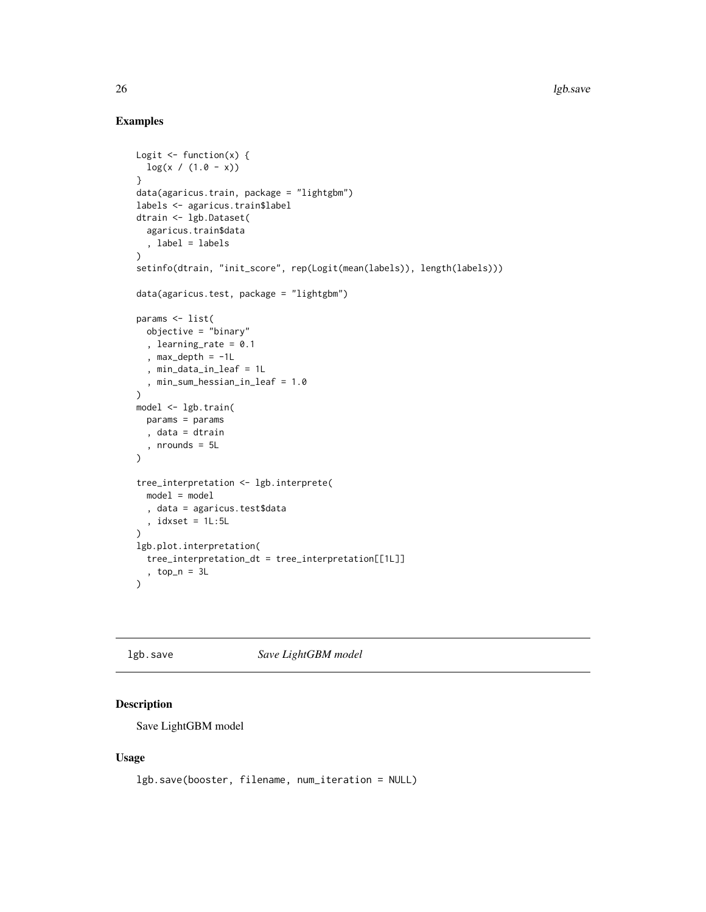## Examples

```
Logit \leq function(x) {
  log(x / (1.0 - x))}
data(agaricus.train, package = "lightgbm")
labels <- agaricus.train$label
dtrain <- lgb.Dataset(
  agaricus.train$data
  , label = labels
\mathcal{L}setinfo(dtrain, "init_score", rep(Logit(mean(labels)), length(labels)))
data(agaricus.test, package = "lightgbm")
params <- list(
 objective = "binary"
  , learning_rate = 0.1
  , max_depth = -1L
  , min_data_in_leaf = 1L
  , min_sum_hessian_in_leaf = 1.0
)
model <- lgb.train(
  params = params
  , data = dtrain
  , nrounds = 5L
\mathcal{L}tree_interpretation <- lgb.interprete(
 model = model
  , data = agaricus.test$data
  , idxset = 1L:5L\lambdalgb.plot.interpretation(
  tree_interpretation_dt = tree_interpretation[[1L]]
  , top_n = 3L
\mathcal{L}
```
lgb.save *Save LightGBM model*

## Description

Save LightGBM model

#### Usage

```
lgb.save(booster, filename, num_iteration = NULL)
```
<span id="page-25-0"></span>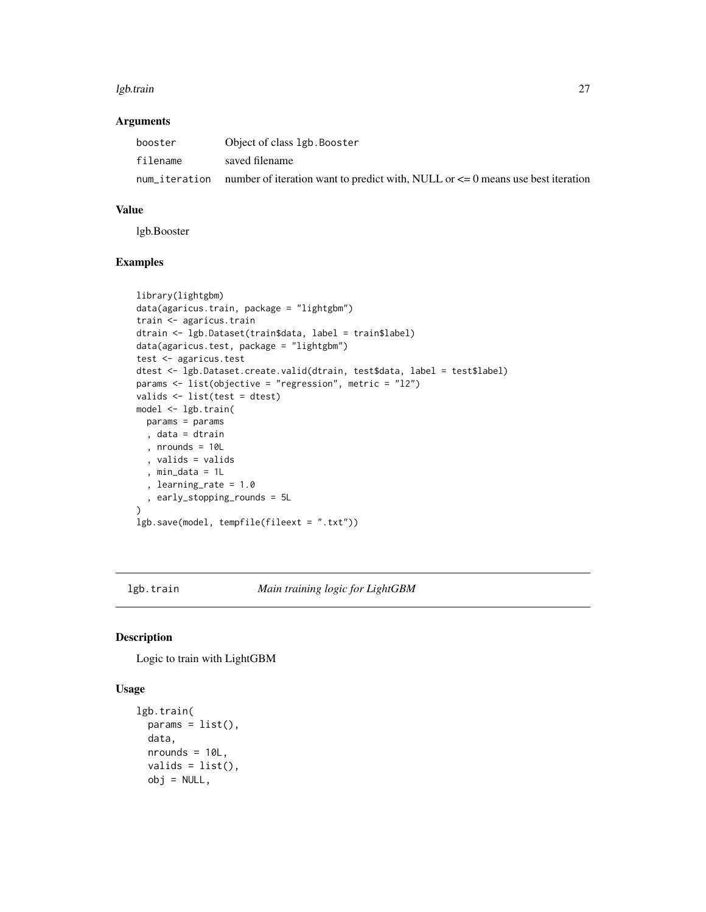#### <span id="page-26-0"></span>lgb.train 27

#### Arguments

| booster  | Object of class 1gb. Booster                                                                     |
|----------|--------------------------------------------------------------------------------------------------|
| filename | saved filename                                                                                   |
|          | num iteration unner of iteration want to predict with, NULL or $\leq$ 0 means use best iteration |

#### Value

lgb.Booster

## Examples

```
library(lightgbm)
data(agaricus.train, package = "lightgbm")
train <- agaricus.train
dtrain <- lgb.Dataset(train$data, label = train$label)
data(agaricus.test, package = "lightgbm")
test <- agaricus.test
dtest <- lgb.Dataset.create.valid(dtrain, test$data, label = test$label)
params <- list(objective = "regression", metric = "l2")
valids <- list(test = dtest)
model <- lgb.train(
 params = params
 , data = dtrain
  , nrounds = 10L
  , valids = valids
  , min_data = 1L
  , learning_rate = 1.0
  , early_stopping_rounds = 5L
\mathcal{L}lgb.save(model, tempfile(fileext = ".txt"))
```
<span id="page-26-1"></span>

lgb.train *Main training logic for LightGBM*

## Description

Logic to train with LightGBM

## Usage

```
lgb.train(
 params = list(),data,
 nrounds = 10L,
 valids = list(),
 obj = NULL,
```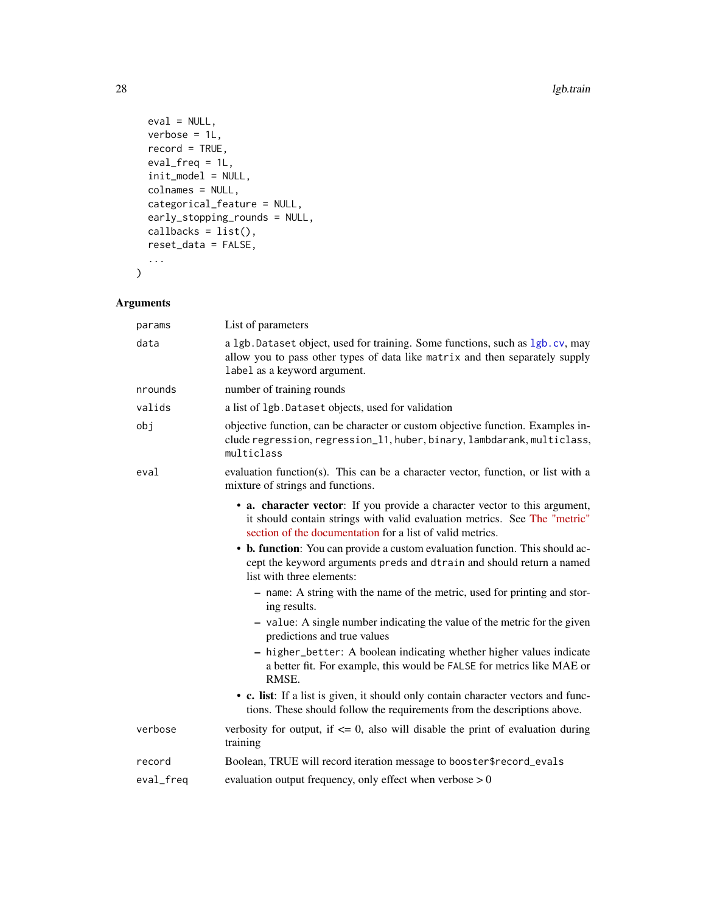```
eval = NULL,verbose = 1L,
 record = TRUE,
 eval_freq = 1L,
  init_model = NULL,
 colnames = NULL,
 categorical_feature = NULL,
 early_stopping_rounds = NULL,
 callbacks = list(),
 reset_data = FALSE,
  ...
\mathcal{L}
```
## Arguments

| List of parameters<br>params                                                                                                                                                                                         |  |
|----------------------------------------------------------------------------------------------------------------------------------------------------------------------------------------------------------------------|--|
| a 1gb. Dataset object, used for training. Some functions, such as 1gb. cv, may<br>data<br>allow you to pass other types of data like matrix and then separately supply<br>label as a keyword argument.               |  |
| number of training rounds<br>nrounds                                                                                                                                                                                 |  |
| valids<br>a list of 1gb. Dataset objects, used for validation                                                                                                                                                        |  |
| obj<br>objective function, can be character or custom objective function. Examples in-<br>clude regression, regression_11, huber, binary, lambdarank, multiclass,<br>multiclass                                      |  |
| evaluation function(s). This can be a character vector, function, or list with a<br>eval<br>mixture of strings and functions.                                                                                        |  |
| • a. character vector: If you provide a character vector to this argument,<br>it should contain strings with valid evaluation metrics. See The "metric"<br>section of the documentation for a list of valid metrics. |  |
| • b. function: You can provide a custom evaluation function. This should ac-<br>cept the keyword arguments preds and dtrain and should return a named<br>list with three elements:                                   |  |
| - name: A string with the name of the metric, used for printing and stor-<br>ing results.                                                                                                                            |  |
| - value: A single number indicating the value of the metric for the given<br>predictions and true values                                                                                                             |  |
| - higher_better: A boolean indicating whether higher values indicate<br>a better fit. For example, this would be FALSE for metrics like MAE or<br>RMSE.                                                              |  |
| • c. list: If a list is given, it should only contain character vectors and func-<br>tions. These should follow the requirements from the descriptions above.                                                        |  |
| verbosity for output, if $\leq 0$ , also will disable the print of evaluation during<br>verbose<br>training                                                                                                          |  |
| Boolean, TRUE will record iteration message to booster\$record_evals<br>record                                                                                                                                       |  |
| evaluation output frequency, only effect when verbose $> 0$<br>eval_freq                                                                                                                                             |  |

<span id="page-27-0"></span>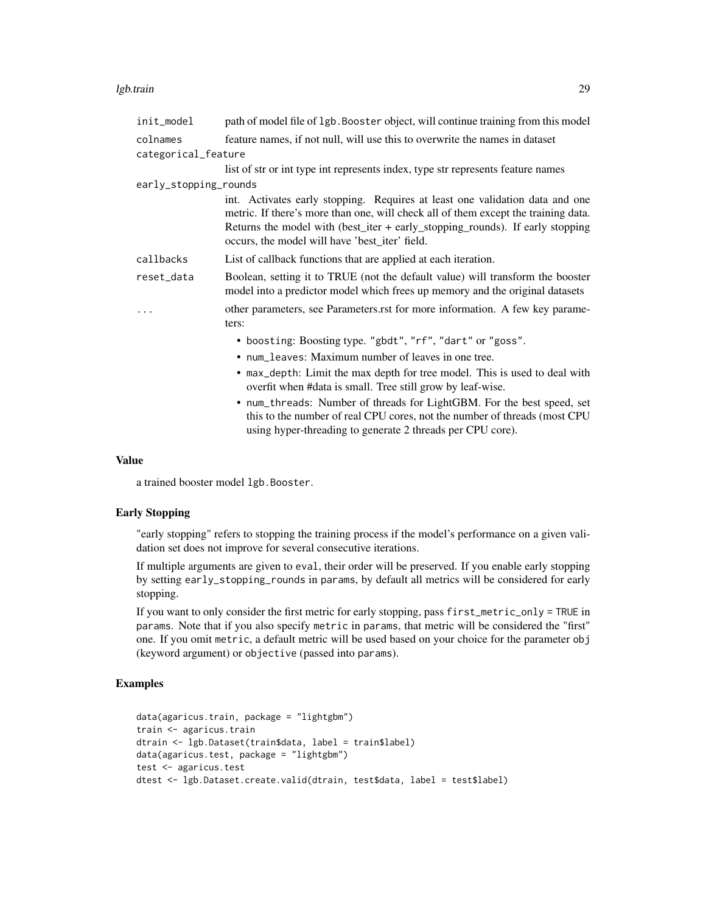#### lgb.train 29

| init_model            | path of model file of 1gb. Booster object, will continue training from this model                                                                                                                                                                                                                     |
|-----------------------|-------------------------------------------------------------------------------------------------------------------------------------------------------------------------------------------------------------------------------------------------------------------------------------------------------|
| colnames              | feature names, if not null, will use this to overwrite the names in dataset                                                                                                                                                                                                                           |
| categorical_feature   |                                                                                                                                                                                                                                                                                                       |
|                       | list of str or int type int represents index, type str represents feature names                                                                                                                                                                                                                       |
| early_stopping_rounds |                                                                                                                                                                                                                                                                                                       |
|                       | int. Activates early stopping. Requires at least one validation data and one<br>metric. If there's more than one, will check all of them except the training data.<br>Returns the model with (best_iter + early_stopping_rounds). If early stopping<br>occurs, the model will have 'best_iter' field. |
| callbacks             | List of callback functions that are applied at each iteration.                                                                                                                                                                                                                                        |
| reset_data            | Boolean, setting it to TRUE (not the default value) will transform the booster<br>model into a predictor model which frees up memory and the original datasets                                                                                                                                        |
| .                     | other parameters, see Parameters.rst for more information. A few key parame-<br>ters:                                                                                                                                                                                                                 |
|                       | • boosting: Boosting type. "gbdt", "rf", "dart" or "goss".                                                                                                                                                                                                                                            |
|                       | • num_leaves: Maximum number of leaves in one tree.                                                                                                                                                                                                                                                   |
|                       | • max_depth: Limit the max depth for tree model. This is used to deal with<br>overfit when #data is small. Tree still grow by leaf-wise.                                                                                                                                                              |
|                       | • num_threads: Number of threads for LightGBM. For the best speed, set<br>this to the number of real CPU cores, not the number of threads (most CPU<br>using hyper-threading to generate 2 threads per CPU core).                                                                                     |

#### Value

a trained booster model lgb.Booster.

## Early Stopping

"early stopping" refers to stopping the training process if the model's performance on a given validation set does not improve for several consecutive iterations.

If multiple arguments are given to eval, their order will be preserved. If you enable early stopping by setting early\_stopping\_rounds in params, by default all metrics will be considered for early stopping.

If you want to only consider the first metric for early stopping, pass first\_metric\_only = TRUE in params. Note that if you also specify metric in params, that metric will be considered the "first" one. If you omit metric, a default metric will be used based on your choice for the parameter obj (keyword argument) or objective (passed into params).

```
data(agaricus.train, package = "lightgbm")
train <- agaricus.train
dtrain <- lgb.Dataset(train$data, label = train$label)
data(agaricus.test, package = "lightgbm")
test <- agaricus.test
dtest <- lgb.Dataset.create.valid(dtrain, test$data, label = test$label)
```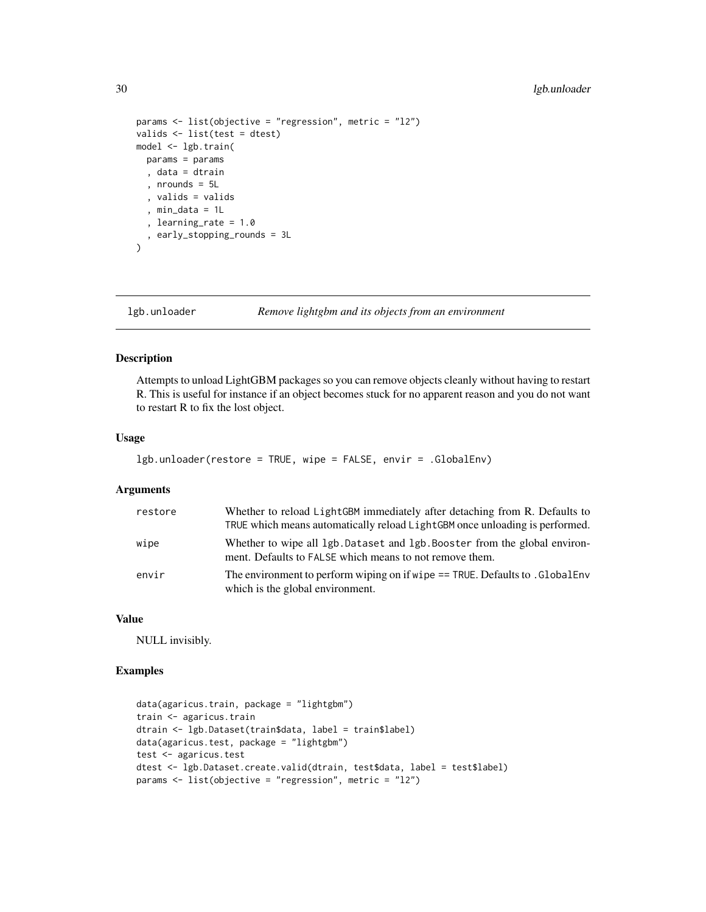```
params <- list(objective = "regression", metric = "l2")
valids <- list(test = dtest)
model <- lgb.train(
 params = params
  , data = dtrain
  , nrounds = 5L
  , valids = valids
  , min_data = 1L
  , learning_rate = 1.0
  , early_stopping_rounds = 3L
)
```
lgb.unloader *Remove lightgbm and its objects from an environment*

#### Description

Attempts to unload LightGBM packages so you can remove objects cleanly without having to restart R. This is useful for instance if an object becomes stuck for no apparent reason and you do not want to restart R to fix the lost object.

#### Usage

```
lgb.unloader(restore = TRUE, wipe = FALSE, envir = .GlobalEnv)
```
#### Arguments

| restore | Whether to reload LightGBM immediately after detaching from R. Defaults to<br>TRUE which means automatically reload LightGBM once unloading is performed. |
|---------|-----------------------------------------------------------------------------------------------------------------------------------------------------------|
| wipe    | Whether to wipe all 1gb. Dataset and 1gb. Booster from the global environ-<br>ment. Defaults to FALSE which means to not remove them.                     |
| envir   | The environment to perform wiping on if wipe == TRUE. Defaults to . GlobalEnv<br>which is the global environment.                                         |

#### Value

NULL invisibly.

```
data(agaricus.train, package = "lightgbm")
train <- agaricus.train
dtrain <- lgb.Dataset(train$data, label = train$label)
data(agaricus.test, package = "lightgbm")
test <- agaricus.test
dtest <- lgb.Dataset.create.valid(dtrain, test$data, label = test$label)
params <- list(objective = "regression", metric = "l2")
```
<span id="page-29-0"></span>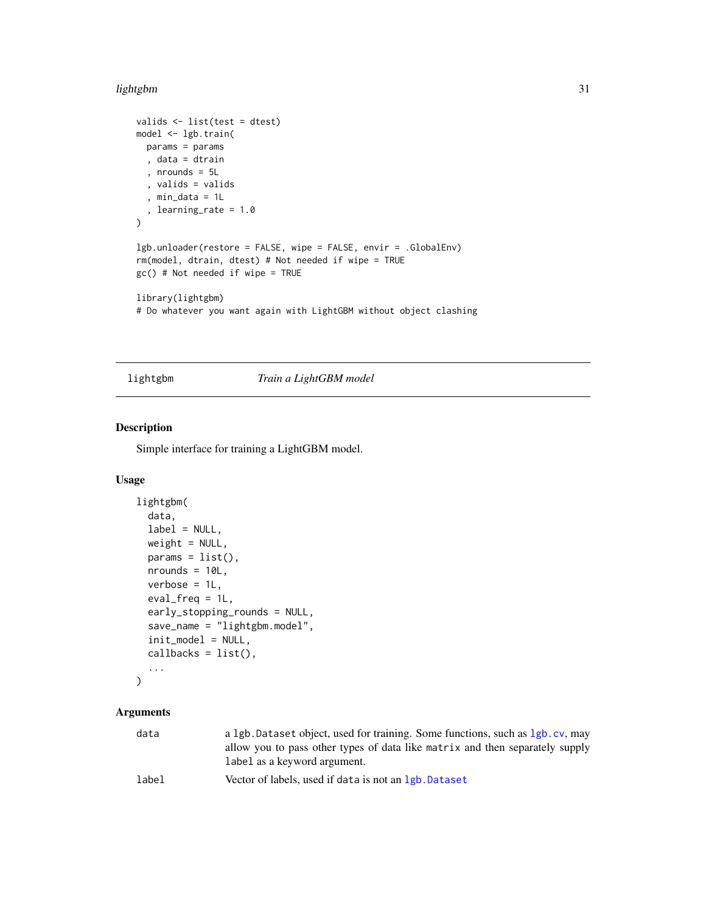#### <span id="page-30-0"></span>lightgbm 31

```
valids <- list(test = dtest)
model <- lgb.train(
 params = params
  , data = dtrain
  , nrounds = 5L
  , valids = valids
  , min_data = 1L
  , learning_rate = 1.0
\overline{)}lgb.unloader(restore = FALSE, wipe = FALSE, envir = .GlobalEnv)
rm(model, dtrain, dtest) # Not needed if wipe = TRUE
gc() # Not needed if wipe = TRUE
library(lightgbm)
# Do whatever you want again with LightGBM without object clashing
```
## lightgbm *Train a LightGBM model*

## Description

Simple interface for training a LightGBM model.

#### Usage

```
lightgbm(
  data,
  label = NULL,weight = NULL,params = list(),nrounds = 10L,
  verbose = 1L,
  eval_freq = 1L,
  early_stopping_rounds = NULL,
  save_name = "lightgbm.model",
  init_model = NULL,
  callbacks = list(),
  ...
```

```
)
```
## Arguments

| data  | a 1gb. Dataset object, used for training. Some functions, such as 1gb. cv, may<br>allow you to pass other types of data like matrix and then separately supply<br>label as a keyword argument. |
|-------|------------------------------------------------------------------------------------------------------------------------------------------------------------------------------------------------|
| label | Vector of labels, used if data is not an 1gb. Dataset                                                                                                                                          |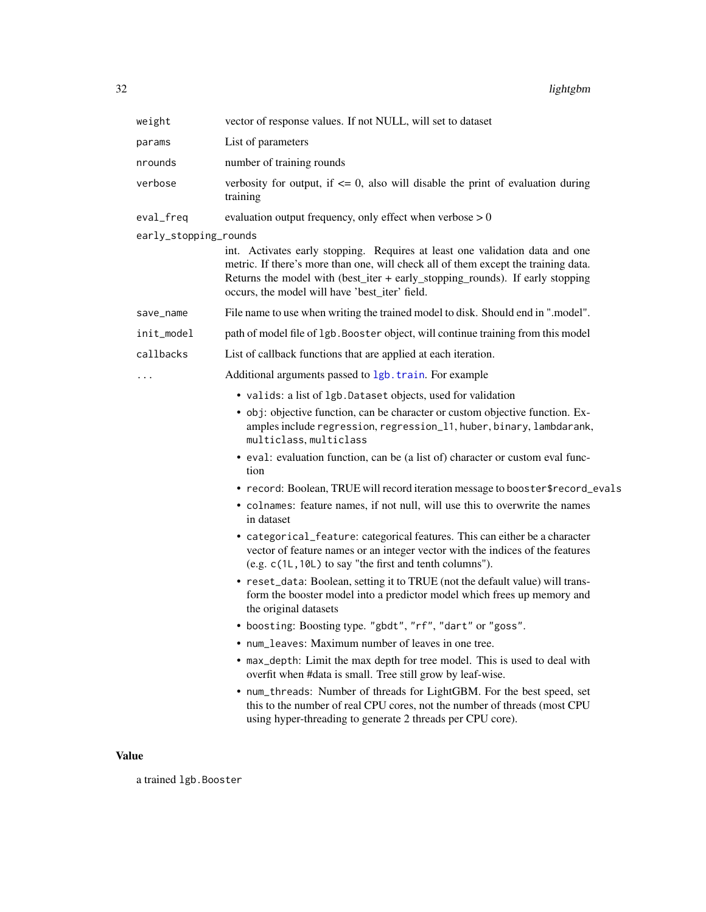<span id="page-31-0"></span>

| weight                | vector of response values. If not NULL, will set to dataset                                                                                                                                                                                                                                           |
|-----------------------|-------------------------------------------------------------------------------------------------------------------------------------------------------------------------------------------------------------------------------------------------------------------------------------------------------|
| params                | List of parameters                                                                                                                                                                                                                                                                                    |
| nrounds               | number of training rounds                                                                                                                                                                                                                                                                             |
| verbose               | verbosity for output, if $\leq$ 0, also will disable the print of evaluation during<br>training                                                                                                                                                                                                       |
| eval_freq             | evaluation output frequency, only effect when verbose $> 0$                                                                                                                                                                                                                                           |
| early_stopping_rounds |                                                                                                                                                                                                                                                                                                       |
|                       | int. Activates early stopping. Requires at least one validation data and one<br>metric. If there's more than one, will check all of them except the training data.<br>Returns the model with (best_iter + early_stopping_rounds). If early stopping<br>occurs, the model will have 'best_iter' field. |
| save_name             | File name to use when writing the trained model to disk. Should end in ".model".                                                                                                                                                                                                                      |
| init_model            | path of model file of 1gb. Booster object, will continue training from this model                                                                                                                                                                                                                     |
| callbacks             | List of callback functions that are applied at each iteration.                                                                                                                                                                                                                                        |
|                       | Additional arguments passed to 1gb. train. For example                                                                                                                                                                                                                                                |
|                       | • valids: a list of 1gb. Dataset objects, used for validation                                                                                                                                                                                                                                         |
|                       | • obj: objective function, can be character or custom objective function. Ex-<br>amples include regression, regression_11, huber, binary, lambdarank,<br>multiclass, multiclass                                                                                                                       |
|                       | • eval: evaluation function, can be (a list of) character or custom eval func-<br>tion                                                                                                                                                                                                                |
|                       | • record: Boolean, TRUE will record iteration message to booster\$record_evals                                                                                                                                                                                                                        |
|                       | • colnames: feature names, if not null, will use this to overwrite the names<br>in dataset                                                                                                                                                                                                            |
|                       | • categorical_feature: categorical features. This can either be a character<br>vector of feature names or an integer vector with the indices of the features<br>(e.g. $c(1L, 10L)$ to say "the first and tenth columns").                                                                             |
|                       | • reset_data: Boolean, setting it to TRUE (not the default value) will trans-<br>form the booster model into a predictor model which frees up memory and<br>the original datasets                                                                                                                     |
|                       | • boosting: Boosting type. "gbdt", "rf", "dart" or "goss"                                                                                                                                                                                                                                             |
|                       | • num_leaves: Maximum number of leaves in one tree.                                                                                                                                                                                                                                                   |
|                       | • max_depth: Limit the max depth for tree model. This is used to deal with<br>overfit when #data is small. Tree still grow by leaf-wise.                                                                                                                                                              |
|                       | • num_threads: Number of threads for LightGBM. For the best speed, set<br>this to the number of real CPU cores, not the number of threads (most CPU<br>using hyper-threading to generate 2 threads per CPU core).                                                                                     |

## Value

a trained lgb.Booster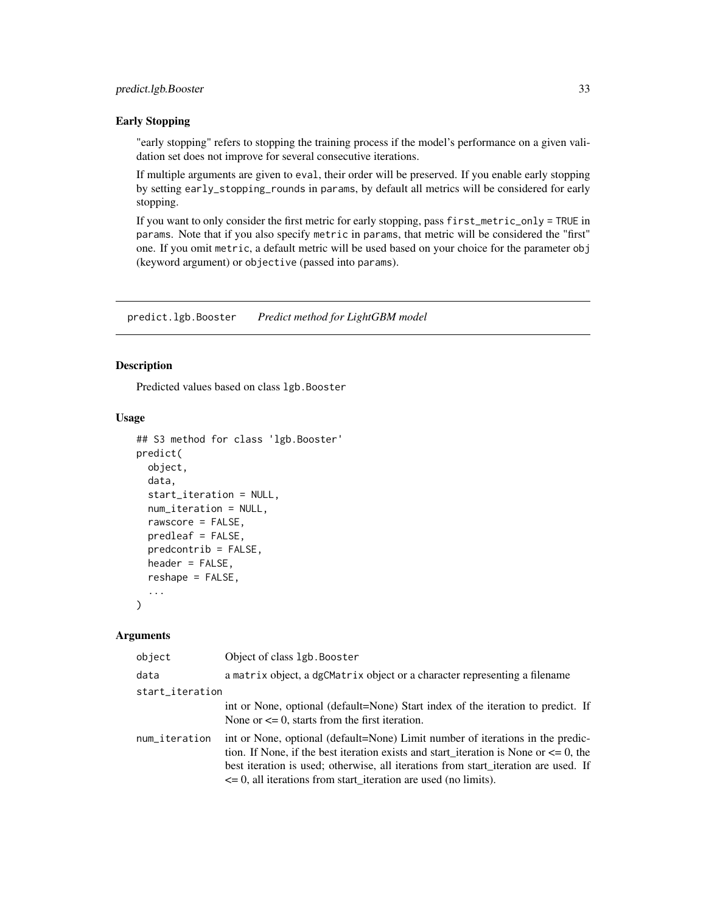#### <span id="page-32-0"></span>Early Stopping

"early stopping" refers to stopping the training process if the model's performance on a given validation set does not improve for several consecutive iterations.

If multiple arguments are given to eval, their order will be preserved. If you enable early stopping by setting early\_stopping\_rounds in params, by default all metrics will be considered for early stopping.

If you want to only consider the first metric for early stopping, pass first\_metric\_only = TRUE in params. Note that if you also specify metric in params, that metric will be considered the "first" one. If you omit metric, a default metric will be used based on your choice for the parameter obj (keyword argument) or objective (passed into params).

predict.lgb.Booster *Predict method for LightGBM model*

#### Description

Predicted values based on class lgb.Booster

### Usage

```
## S3 method for class 'lgb.Booster'
predict(
  object,
  data,
  start_iteration = NULL,
 num_iteration = NULL,
  rawscore = FALSE,
 predleaf = FALSE,
 predcontrib = FALSE,
 header = FALSE,reshape = FALSE,
  ...
\lambda
```
#### Arguments

| object          | Object of class 1gb. Booster                                                                                                                                                                                                                                                                                                              |  |
|-----------------|-------------------------------------------------------------------------------------------------------------------------------------------------------------------------------------------------------------------------------------------------------------------------------------------------------------------------------------------|--|
| data            | a matrix object, a dgCMatrix object or a character representing a filename                                                                                                                                                                                                                                                                |  |
| start_iteration |                                                                                                                                                                                                                                                                                                                                           |  |
|                 | int or None, optional (default=None) Start index of the iteration to predict. If<br>None or $\leq$ 0, starts from the first iteration.                                                                                                                                                                                                    |  |
| num_iteration   | int or None, optional (default=None) Limit number of iterations in the predic-<br>tion. If None, if the best iteration exists and start_iteration is None or $\leq 0$ , the<br>best iteration is used; otherwise, all iterations from start iteration are used. If<br>$\leq$ 0, all iterations from start iteration are used (no limits). |  |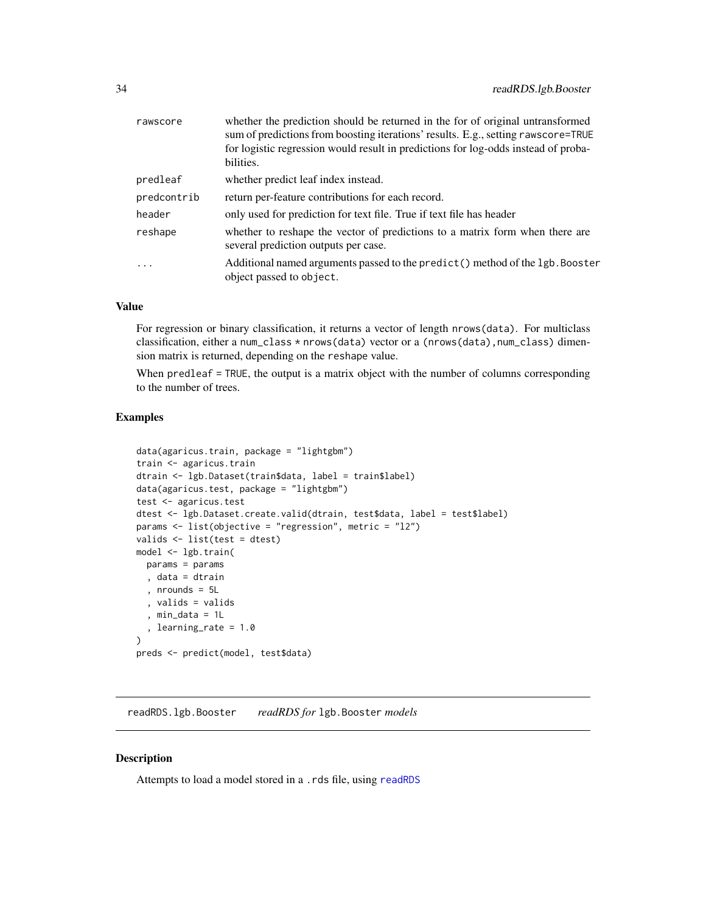<span id="page-33-0"></span>

| rawscore    | whether the prediction should be returned in the for of original untransformed<br>sum of predictions from boosting iterations' results. E.g., setting rawscore=TRUE<br>for logistic regression would result in predictions for log-odds instead of proba-<br>bilities. |
|-------------|------------------------------------------------------------------------------------------------------------------------------------------------------------------------------------------------------------------------------------------------------------------------|
| predleaf    | whether predict leaf index instead.                                                                                                                                                                                                                                    |
| predcontrib | return per-feature contributions for each record.                                                                                                                                                                                                                      |
| header      | only used for prediction for text file. True if text file has header                                                                                                                                                                                                   |
| reshape     | whether to reshape the vector of predictions to a matrix form when there are<br>several prediction outputs per case.                                                                                                                                                   |
| $\ddots$    | Additional named arguments passed to the predict() method of the 1gb. Booster<br>object passed to object.                                                                                                                                                              |

#### Value

For regression or binary classification, it returns a vector of length nrows(data). For multiclass classification, either a num\_class \* nrows(data) vector or a (nrows(data), num\_class) dimension matrix is returned, depending on the reshape value.

When predleaf = TRUE, the output is a matrix object with the number of columns corresponding to the number of trees.

## Examples

```
data(agaricus.train, package = "lightgbm")
train <- agaricus.train
dtrain <- lgb.Dataset(train$data, label = train$label)
data(agaricus.test, package = "lightgbm")
test <- agaricus.test
dtest <- lgb.Dataset.create.valid(dtrain, test$data, label = test$label)
params <- list(objective = "regression", metric = "l2")
valids <- list(test = dtest)
model <- lgb.train(
  params = params
  , data = dtrain
  , nrounds = 5L
  , valids = valids
  , min_data = 1L
  , learning_rate = 1.0
)
preds <- predict(model, test$data)
```
readRDS.lgb.Booster *readRDS for* lgb.Booster *models*

#### Description

Attempts to load a model stored in a .rds file, using [readRDS](#page-0-0)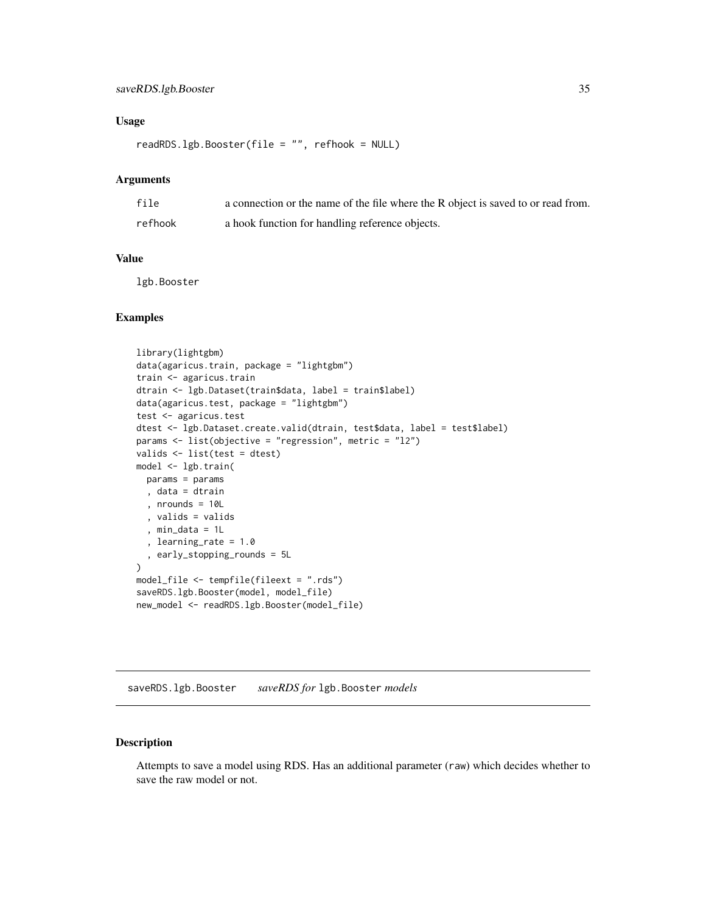#### <span id="page-34-0"></span>Usage

readRDS.lgb.Booster(file = "", refhook = NULL)

#### Arguments

| file    | a connection or the name of the file where the R object is saved to or read from. |
|---------|-----------------------------------------------------------------------------------|
| refhook | a hook function for handling reference objects.                                   |

## Value

lgb.Booster

## Examples

```
library(lightgbm)
data(agaricus.train, package = "lightgbm")
train <- agaricus.train
dtrain <- lgb.Dataset(train$data, label = train$label)
data(agaricus.test, package = "lightgbm")
test <- agaricus.test
dtest <- lgb.Dataset.create.valid(dtrain, test$data, label = test$label)
params <- list(objective = "regression", metric = "l2")
valids <- list(test = dtest)
model <- lgb.train(
 params = params
  , data = dtrain
  , nrounds = 10L
  , valids = valids
  , min_data = 1L
  , learning_rate = 1.0
  , early_stopping_rounds = 5L
)
model_file <- tempfile(fileext = ".rds")
saveRDS.lgb.Booster(model, model_file)
new_model <- readRDS.lgb.Booster(model_file)
```
saveRDS.lgb.Booster *saveRDS for* lgb.Booster *models*

## Description

Attempts to save a model using RDS. Has an additional parameter (raw) which decides whether to save the raw model or not.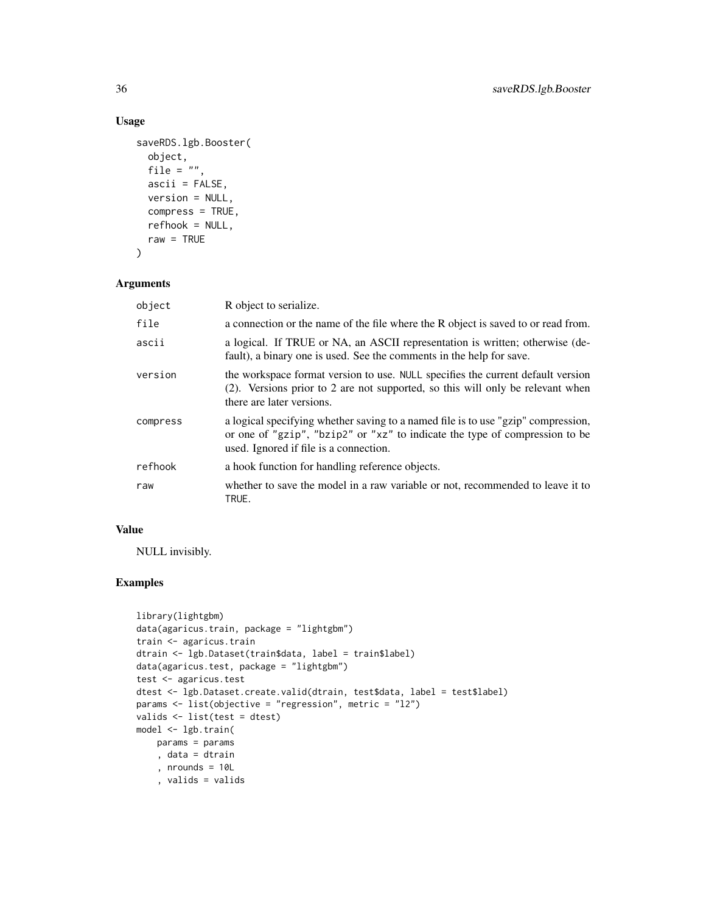## Usage

```
saveRDS.lgb.Booster(
  object,
 file = \int u \, du,
  ascii = FALSE,
  version = NULL,
  compress = TRUE,
  refhook = NULL,
  raw = TRUE
\mathcal{L}
```
## Arguments

| object   | R object to serialize.                                                                                                                                                                                     |
|----------|------------------------------------------------------------------------------------------------------------------------------------------------------------------------------------------------------------|
| file     | a connection or the name of the file where the R object is saved to or read from.                                                                                                                          |
| ascii    | a logical. If TRUE or NA, an ASCII representation is written; otherwise (de-<br>fault), a binary one is used. See the comments in the help for save.                                                       |
| version  | the workspace format version to use. NULL specifies the current default version<br>(2). Versions prior to 2 are not supported, so this will only be relevant when<br>there are later versions.             |
| compress | a logical specifying whether saving to a named file is to use "gzip" compression,<br>or one of "gzip", "bzip2" or "xz" to indicate the type of compression to be<br>used. Ignored if file is a connection. |
| refhook  | a hook function for handling reference objects.                                                                                                                                                            |
| raw      | whether to save the model in a raw variable or not, recommended to leave it to<br>TRUE.                                                                                                                    |

## Value

NULL invisibly.

```
library(lightgbm)
data(agaricus.train, package = "lightgbm")
train <- agaricus.train
dtrain <- lgb.Dataset(train$data, label = train$label)
data(agaricus.test, package = "lightgbm")
test <- agaricus.test
dtest <- lgb.Dataset.create.valid(dtrain, test$data, label = test$label)
params <- list(objective = "regression", metric = "l2")
valids <- list(test = dtest)
model <- lgb.train(
   params = params
    , data = dtrain
    , nrounds = 10L
    , valids = valids
```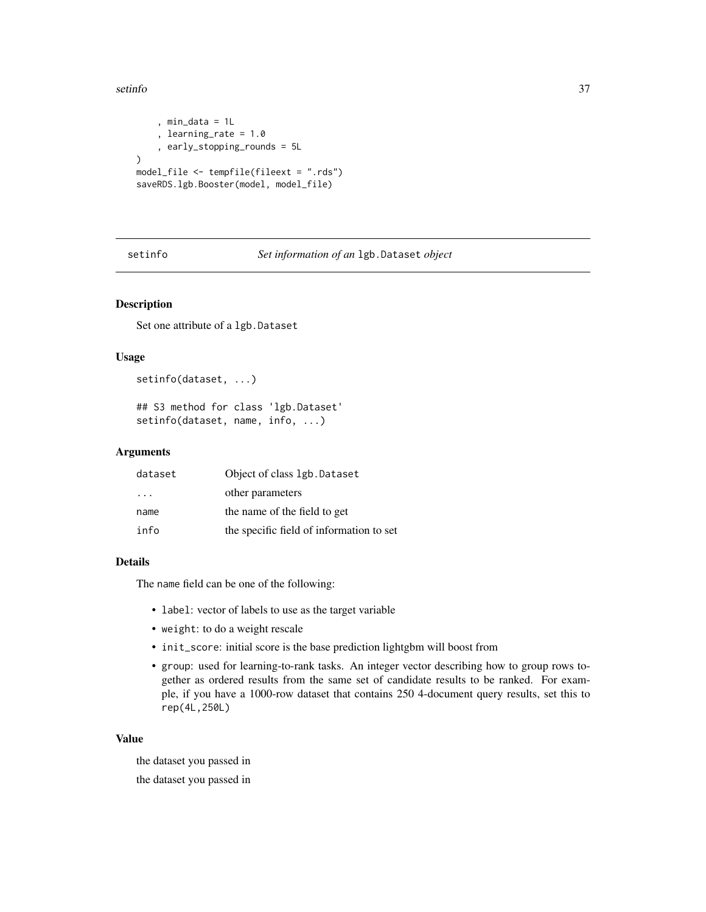#### <span id="page-36-0"></span>setinfo 37

```
, min_data = 1L
    , learning_rate = 1.0
    , early_stopping_rounds = 5L
)
model_file <- tempfile(fileext = ".rds")
saveRDS.lgb.Booster(model, model_file)
```
## setinfo *Set information of an* lgb.Dataset *object*

## Description

Set one attribute of a lgb.Dataset

#### Usage

```
setinfo(dataset, ...)
```

```
## S3 method for class 'lgb.Dataset'
setinfo(dataset, name, info, ...)
```
#### Arguments

| dataset                 | Object of class 1gb. Dataset             |
|-------------------------|------------------------------------------|
| $\cdot$ $\cdot$ $\cdot$ | other parameters                         |
| name                    | the name of the field to get             |
| info                    | the specific field of information to set |

#### Details

The name field can be one of the following:

- label: vector of labels to use as the target variable
- weight: to do a weight rescale
- init\_score: initial score is the base prediction lightgbm will boost from
- group: used for learning-to-rank tasks. An integer vector describing how to group rows together as ordered results from the same set of candidate results to be ranked. For example, if you have a 1000-row dataset that contains 250 4-document query results, set this to rep(4L,250L)

#### Value

the dataset you passed in the dataset you passed in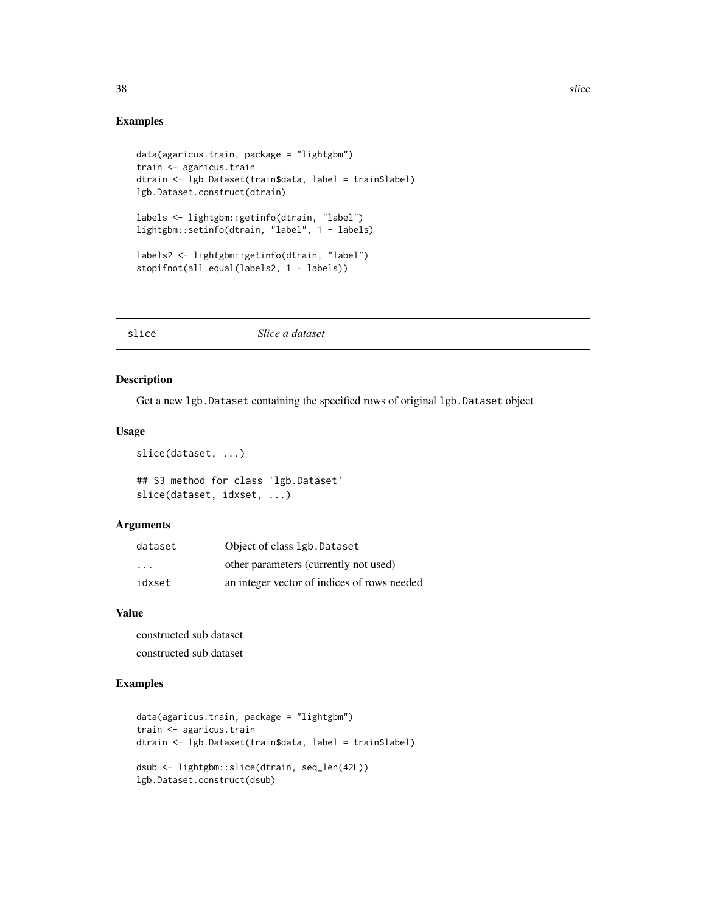#### 38 slice that the state of the state of the state of the state of the state of the state of the state of the state of the state of the state of the state of the state of the state of the state of the state of the state of

#### Examples

```
data(agaricus.train, package = "lightgbm")
train <- agaricus.train
dtrain <- lgb.Dataset(train$data, label = train$label)
lgb.Dataset.construct(dtrain)
labels <- lightgbm::getinfo(dtrain, "label")
lightgbm::setinfo(dtrain, "label", 1 - labels)
labels2 <- lightgbm::getinfo(dtrain, "label")
stopifnot(all.equal(labels2, 1 - labels))
```
#### slice *Slice a dataset*

## Description

Get a new lgb.Dataset containing the specified rows of original lgb.Dataset object

#### Usage

```
slice(dataset, ...)
```

```
## S3 method for class 'lgb.Dataset'
slice(dataset, idxset, ...)
```
## Arguments

| dataset | Object of class 1gb. Dataset                |
|---------|---------------------------------------------|
| $\cdot$ | other parameters (currently not used)       |
| idxset  | an integer vector of indices of rows needed |

#### Value

constructed sub dataset constructed sub dataset

```
data(agaricus.train, package = "lightgbm")
train <- agaricus.train
dtrain <- lgb.Dataset(train$data, label = train$label)
dsub <- lightgbm::slice(dtrain, seq_len(42L))
lgb.Dataset.construct(dsub)
```
<span id="page-37-0"></span>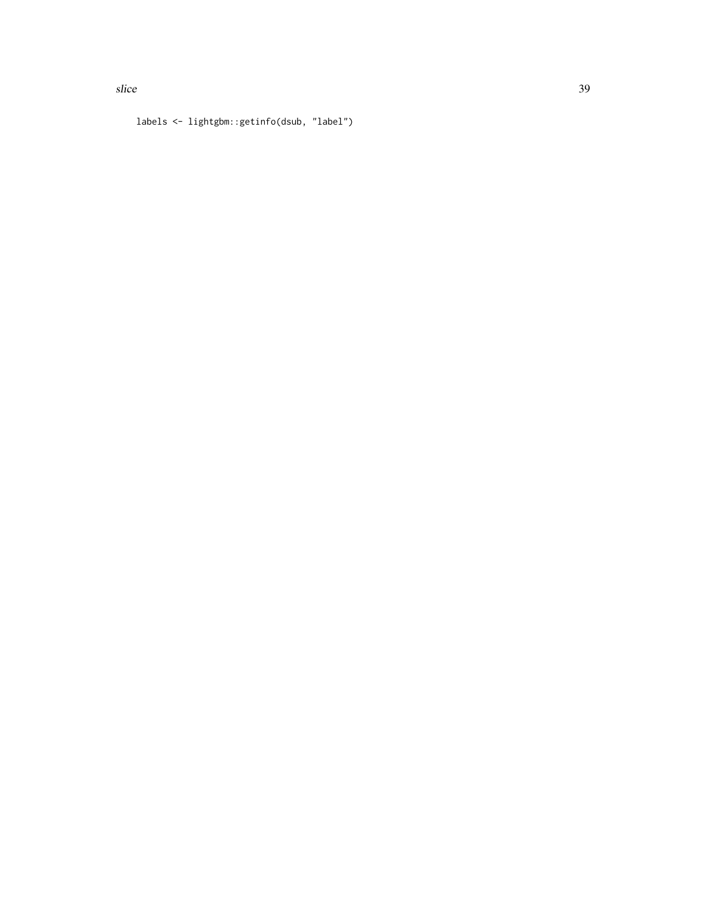labels <- lightgbm::getinfo(dsub, "label")